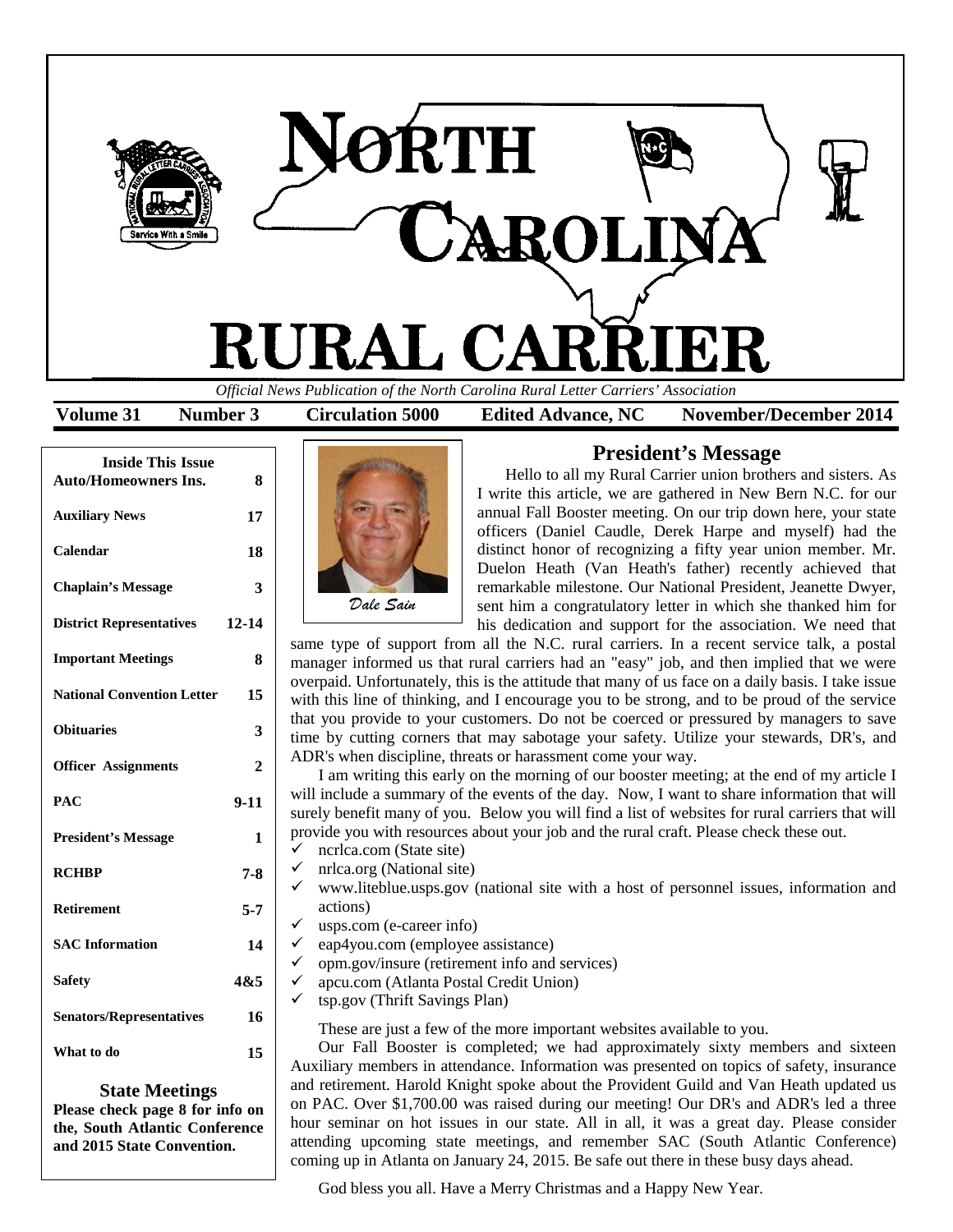

**Volume 31 Number 3 Circulation 5000 Edited Advance, NC November/December 2014**

| <b>Inside This Issue</b><br><b>Auto/Homeowners Ins.</b> | 8            |
|---------------------------------------------------------|--------------|
| <b>Auxiliary News</b>                                   | 17           |
| Calendar                                                | 18           |
| <b>Chaplain's Message</b>                               | 3            |
| <b>District Representatives</b>                         | $12 - 14$    |
| <b>Important Meetings</b>                               | 8            |
| <b>National Convention Letter</b>                       | 15           |
| <b>Obituaries</b>                                       | 3            |
| <b>Officer Assignments</b>                              | $\mathbf{2}$ |
| PAC                                                     | $9-11$       |
| <b>President's Message</b>                              | 1            |
| <b>RCHBP</b>                                            | 7-8          |
| <b>Retirement</b>                                       | $5 - 7$      |
| <b>SAC Information</b>                                  | 14           |
| <b>Safety</b>                                           | 4&5          |
| <b>Senators/Representatives</b>                         | 16           |
| What to do                                              | 15           |

#### **State Meetings**

**Please check page 8 for info on the, South Atlantic Conference and 2015 State Convention.**



# **President's Message**

Hello to all my Rural Carrier union brothers and sisters. As I write this article, we are gathered in New Bern N.C. for our annual Fall Booster meeting. On our trip down here, your state officers (Daniel Caudle, Derek Harpe and myself) had the distinct honor of recognizing a fifty year union member. Mr. Duelon Heath (Van Heath's father) recently achieved that remarkable milestone. Our National President, Jeanette Dwyer, sent him a congratulatory letter in which she thanked him for his dedication and support for the association. We need that

same type of support from all the N.C. rural carriers. In a recent service talk, a postal manager informed us that rural carriers had an "easy" job, and then implied that we were overpaid. Unfortunately, this is the attitude that many of us face on a daily basis. I take issue with this line of thinking, and I encourage you to be strong, and to be proud of the service that you provide to your customers. Do not be coerced or pressured by managers to save time by cutting corners that may sabotage your safety. Utilize your stewards, DR's, and ADR's when discipline, threats or harassment come your way.

I am writing this early on the morning of our booster meeting; at the end of my article I will include a summary of the events of the day. Now, I want to share information that will surely benefit many of you. Below you will find a list of websites for rural carriers that will provide you with resources about your job and the rural craft. Please check these out.

- $\checkmark$  ncrlca.com (State site)
- nrlca.org (National site)
- www.liteblue.usps.gov (national site with a host of personnel issues, information and actions)
- usps.com (e-career info)
- eap4you.com (employee assistance)
- opm.gov/insure (retirement info and services)
- apcu.com (Atlanta Postal Credit Union)
- tsp.gov (Thrift Savings Plan)

These are just a few of the more important websites available to you.

Our Fall Booster is completed; we had approximately sixty members and sixteen Auxiliary members in attendance. Information was presented on topics of safety, insurance and retirement. Harold Knight spoke about the Provident Guild and Van Heath updated us on PAC. Over \$1,700.00 was raised during our meeting! Our DR's and ADR's led a three hour seminar on hot issues in our state. All in all, it was a great day. Please consider attending upcoming state meetings, and remember SAC (South Atlantic Conference) coming up in Atlanta on January 24, 2015. Be safe out there in these busy days ahead.

God bless you all. Have a Merry Christmas and a Happy New Year.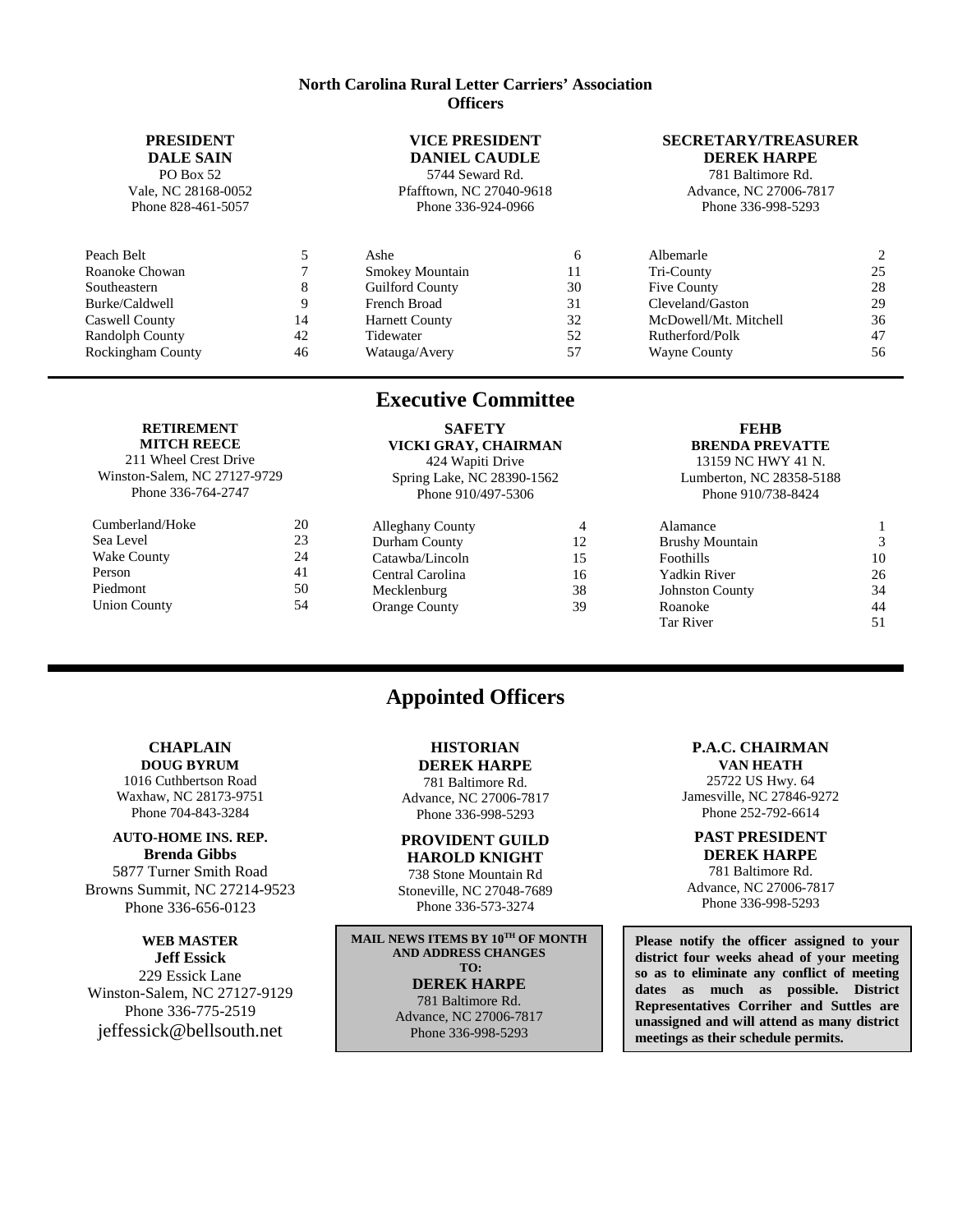#### **North Carolina Rural Letter Carriers' Association Officers**

# **PRESIDENT**

**DALE SAIN** PO Box 52 Vale, NC 28168-0052 Phone 828-461-5057

### **VICE PRESIDENT**

**DANIEL CAUDLE** 5744 Seward Rd. Pfafftown, NC 27040-9618 Phone 336-924-0966

#### **SECRETARY/TREASURER DEREK HARPE**

781 Baltimore Rd. Advance, NC 27006-7817 Phone 336-998-5293

| Peach Belt               |    | Ashe                   |    | Albemarle             | 2  |
|--------------------------|----|------------------------|----|-----------------------|----|
| Roanoke Chowan           |    | <b>Smokey Mountain</b> |    | Tri-County            | 25 |
| Southeastern             |    | <b>Guilford County</b> | 30 | Five County           | 28 |
| Burke/Caldwell           |    | French Broad           | 31 | Cleveland/Gaston      | 29 |
| Caswell County           | 14 | <b>Harnett County</b>  | 32 | McDowell/Mt. Mitchell | 36 |
| Randolph County          | 42 | Tidewater              | 52 | Rutherford/Polk       | 47 |
| <b>Rockingham County</b> | 46 | Watauga/Avery          | 57 | <b>Wayne County</b>   | 56 |

**Executive Committee**

#### **RETIREMENT MITCH REECE**

211 Wheel Crest Drive Winston-Salem, NC 27127-9729 Phone 336-764-2747

| Cumberland/Hoke     | 20 |
|---------------------|----|
| Sea Level           | 23 |
| <b>Wake County</b>  | 24 |
| Person              | 41 |
| Piedmont            | 50 |
| <b>Union County</b> | 54 |
|                     |    |

# **SAFETY**

**VICKI GRAY, CHAIRMAN** 424 Wapiti Drive Spring Lake, NC 28390-1562 Phone 910/497-5306

Alleghany County 4 Durham County 12 Catawba/Lincoln 15 Central Carolina 16

# Mecklenburg 38 Orange County 39

#### **FEHB BRENDA PREVATTE** 13159 NC HWY 41 N.

Lumberton, NC 28358-5188 Phone 910/738-8424

| Alamance               |    |
|------------------------|----|
| <b>Brushy Mountain</b> | 3  |
| Foothills              | 10 |
| Yadkin River           | 26 |
| <b>Johnston County</b> | 34 |
| Roanoke                | 44 |
| Tar River              | 51 |
|                        |    |

# **CHAPLAIN**

**DOUG BYRUM** 1016 Cuthbertson Road Waxhaw, NC 28173-9751 Phone 704-843-3284

#### **AUTO-HOME INS. REP. Brenda Gibbs**

5877 Turner Smith Road Browns Summit, NC 27214-9523 Phone 336-656-0123

#### **WEB MASTER Jeff Essick**

229 Essick Lane Winston-Salem, NC 27127-9129 Phone 336-775-2519 jeffessick@bellsouth.net

# **HISTORIAN**

**Appointed Officers**

**DEREK HARPE** 781 Baltimore Rd. Advance, NC 27006-7817

# Phone 336-998-5293 **PROVIDENT GUILD**

**HAROLD KNIGHT** 738 Stone Mountain Rd Stoneville, NC 27048-7689 Phone 336-573-3274

**MAIL NEWS ITEMS BY 10TH OF MONTH AND ADDRESS CHANGES TO: DEREK HARPE** 781 Baltimore Rd. Advance, NC 27006-7817 Phone 336-998-5293

#### **P.A.C. CHAIRMAN**

**VAN HEATH** 25722 US Hwy. 64 Jamesville, NC 27846-9272 Phone 252-792-6614

#### **PAST PRESIDENT DEREK HARPE**

781 Baltimore Rd. Advance, NC 27006-7817 Phone 336-998-5293

**Please notify the officer assigned to your district four weeks ahead of your meeting so as to eliminate any conflict of meeting dates as much as possible. District Representatives Corriher and Suttles are unassigned and will attend as many district meetings as their schedule permits.**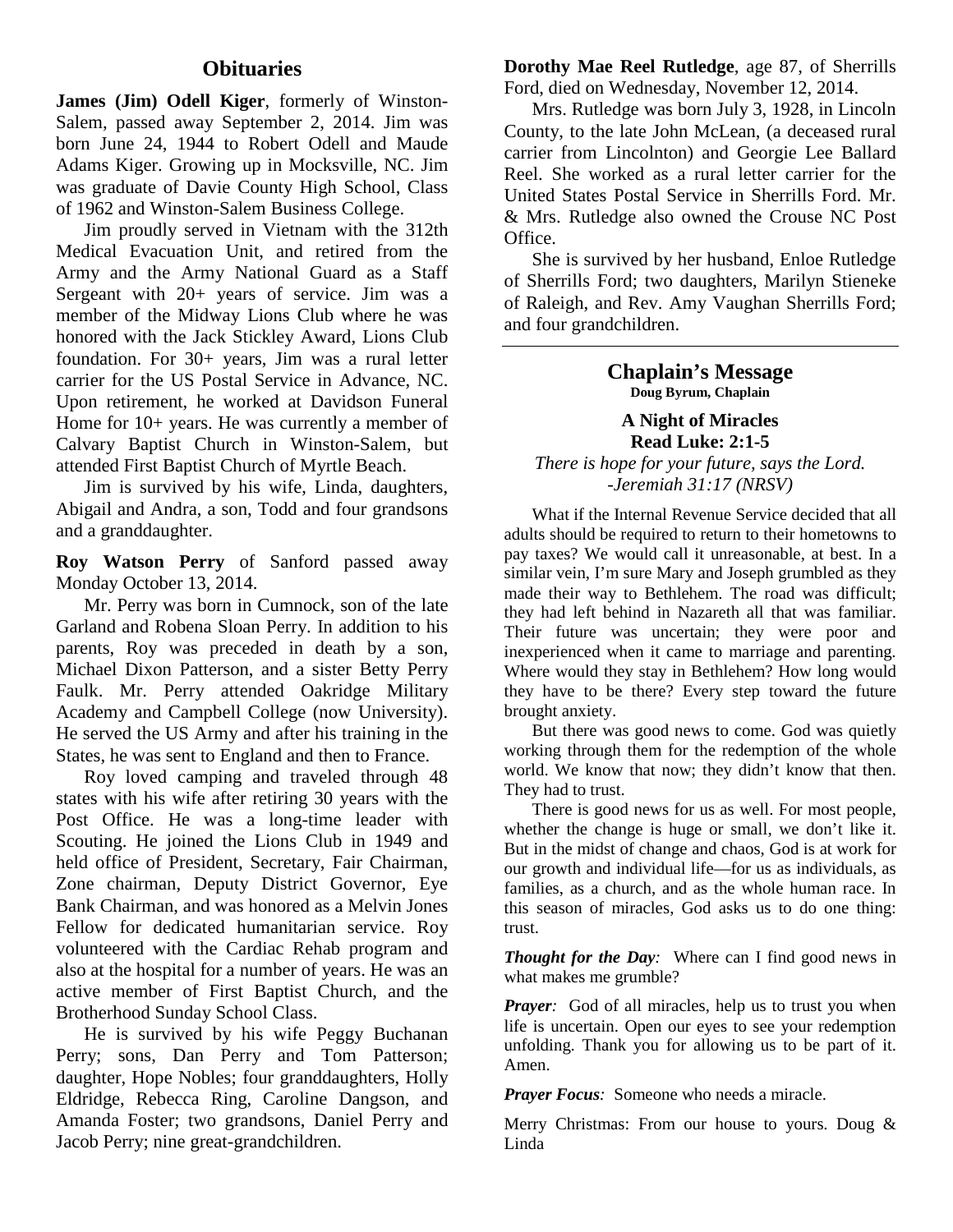# **Obituaries**

**James (Jim) Odell Kiger**, formerly of Winston-Salem, passed away September 2, 2014. Jim was born June 24, 1944 to Robert Odell and Maude Adams Kiger. Growing up in Mocksville, NC. Jim was graduate of Davie County High School, Class of 1962 and Winston-Salem Business College.

Jim proudly served in Vietnam with the 312th Medical Evacuation Unit, and retired from the Army and the Army National Guard as a Staff Sergeant with 20+ years of service. Jim was a member of the Midway Lions Club where he was honored with the Jack Stickley Award, Lions Club foundation. For 30+ years, Jim was a rural letter carrier for the US Postal Service in Advance, NC. Upon retirement, he worked at Davidson Funeral Home for 10+ years. He was currently a member of Calvary Baptist Church in Winston-Salem, but attended First Baptist Church of Myrtle Beach.

Jim is survived by his wife, Linda, daughters, Abigail and Andra, a son, Todd and four grandsons and a granddaughter.

**Roy Watson Perry** of Sanford passed away Monday October 13, 2014.

Mr. Perry was born in Cumnock, son of the late Garland and Robena Sloan Perry. In addition to his parents, Roy was preceded in death by a son, Michael Dixon Patterson, and a sister Betty Perry Faulk. Mr. Perry attended Oakridge Military Academy and Campbell College (now University). He served the US Army and after his training in the States, he was sent to England and then to France.

Roy loved camping and traveled through 48 states with his wife after retiring 30 years with the Post Office. He was a long-time leader with Scouting. He joined the Lions Club in 1949 and held office of President, Secretary, Fair Chairman, Zone chairman, Deputy District Governor, Eye Bank Chairman, and was honored as a Melvin Jones Fellow for dedicated humanitarian service. Roy volunteered with the Cardiac Rehab program and also at the hospital for a number of years. He was an active member of First Baptist Church, and the Brotherhood Sunday School Class.

He is survived by his wife Peggy Buchanan Perry; sons, Dan Perry and Tom Patterson; daughter, Hope Nobles; four granddaughters, Holly Eldridge, Rebecca Ring, Caroline Dangson, and Amanda Foster; two grandsons, Daniel Perry and Jacob Perry; nine great-grandchildren.

**Dorothy Mae Reel Rutledge**, age 87, of Sherrills Ford, died on Wednesday, November 12, 2014.

Mrs. Rutledge was born July 3, 1928, in Lincoln County, to the late John McLean, (a deceased rural carrier from Lincolnton) and Georgie Lee Ballard Reel. She worked as a rural letter carrier for the United States Postal Service in Sherrills Ford. Mr. & Mrs. Rutledge also owned the Crouse NC Post Office.

She is survived by her husband, Enloe Rutledge of Sherrills Ford; two daughters, Marilyn Stieneke of Raleigh, and Rev. Amy Vaughan Sherrills Ford; and four grandchildren.

> **Chaplain's Message Doug Byrum, Chaplain**

**A Night of Miracles Read Luke: 2:1-5**

*There is hope for your future, says the Lord. -Jeremiah 31:17 (NRSV)*

What if the Internal Revenue Service decided that all adults should be required to return to their hometowns to pay taxes? We would call it unreasonable, at best. In a similar vein, I'm sure Mary and Joseph grumbled as they made their way to Bethlehem. The road was difficult; they had left behind in Nazareth all that was familiar. Their future was uncertain; they were poor and inexperienced when it came to marriage and parenting. Where would they stay in Bethlehem? How long would they have to be there? Every step toward the future brought anxiety.

But there was good news to come. God was quietly working through them for the redemption of the whole world. We know that now; they didn't know that then. They had to trust.

There is good news for us as well. For most people, whether the change is huge or small, we don't like it. But in the midst of change and chaos, God is at work for our growth and individual life—for us as individuals, as families, as a church, and as the whole human race. In this season of miracles, God asks us to do one thing: trust.

*Thought for the Day:* Where can I find good news in what makes me grumble?

*Prayer:* God of all miracles, help us to trust you when life is uncertain. Open our eyes to see your redemption unfolding. Thank you for allowing us to be part of it. Amen.

*Prayer Focus:* Someone who needs a miracle.

Merry Christmas: From our house to yours. Doug & Linda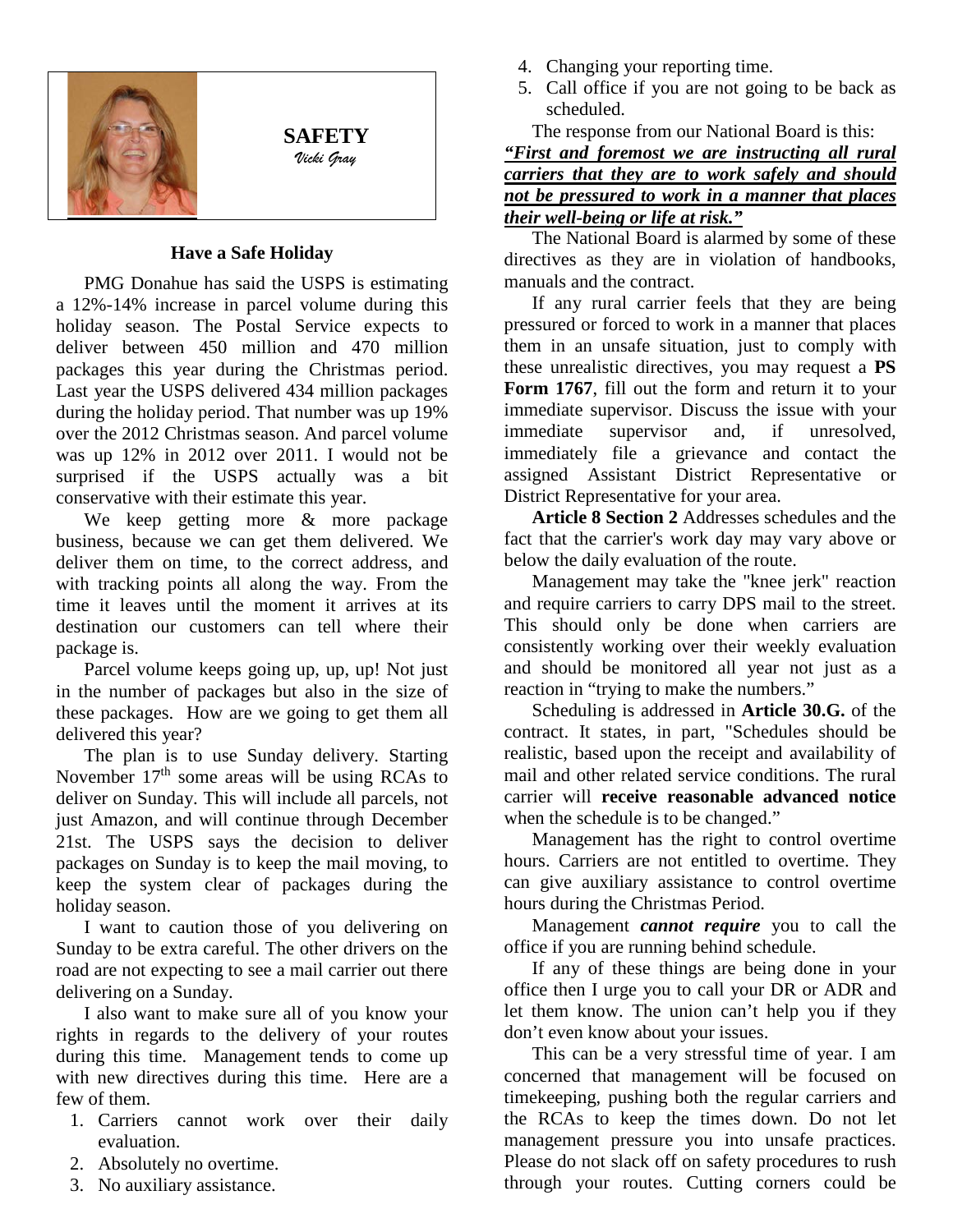

**SAFETY** *Vicki Gray*

# **Have a Safe Holiday**

PMG Donahue has said the USPS is estimating a 12%-14% increase in parcel volume during this holiday season. The Postal Service expects to deliver between 450 million and 470 million packages this year during the Christmas period. Last year the USPS delivered 434 million packages during the holiday period. That number was up 19% over the 2012 Christmas season. And parcel volume was up 12% in 2012 over 2011. I would not be surprised if the USPS actually was a bit conservative with their estimate this year.

We keep getting more & more package business, because we can get them delivered. We deliver them on time, to the correct address, and with tracking points all along the way. From the time it leaves until the moment it arrives at its destination our customers can tell where their package is.

Parcel volume keeps going up, up, up! Not just in the number of packages but also in the size of these packages. How are we going to get them all delivered this year?

The plan is to use Sunday delivery. Starting November  $17<sup>th</sup>$  some areas will be using RCAs to deliver on Sunday. This will include all parcels, not just Amazon, and will continue through December 21st. The USPS says the decision to deliver packages on Sunday is to keep the mail moving, to keep the system clear of packages during the holiday season.

I want to caution those of you delivering on Sunday to be extra careful. The other drivers on the road are not expecting to see a mail carrier out there delivering on a Sunday.

I also want to make sure all of you know your rights in regards to the delivery of your routes during this time. Management tends to come up with new directives during this time. Here are a few of them.

- 1. Carriers cannot work over their daily evaluation.
- 2. Absolutely no overtime.
- 3. No auxiliary assistance.
- 4. Changing your reporting time.
- 5. Call office if you are not going to be back as scheduled.

The response from our National Board is this: *"First and foremost we are instructing all rural carriers that they are to work safely and should not be pressured to work in a manner that places their well-being or life at risk."*

The National Board is alarmed by some of these directives as they are in violation of handbooks, manuals and the contract.

If any rural carrier feels that they are being pressured or forced to work in a manner that places them in an unsafe situation, just to comply with these unrealistic directives, you may request a **PS Form 1767**, fill out the form and return it to your immediate supervisor. Discuss the issue with your immediate supervisor and, if unresolved, immediately file a grievance and contact the assigned Assistant District Representative or District Representative for your area.

**Article 8 Section 2** Addresses schedules and the fact that the carrier's work day may vary above or below the daily evaluation of the route.

Management may take the "knee jerk" reaction and require carriers to carry DPS mail to the street. This should only be done when carriers are consistently working over their weekly evaluation and should be monitored all year not just as a reaction in "trying to make the numbers."

Scheduling is addressed in **Article 30.G.** of the contract. It states, in part, "Schedules should be realistic, based upon the receipt and availability of mail and other related service conditions. The rural carrier will **receive reasonable advanced notice** when the schedule is to be changed."

Management has the right to control overtime hours. Carriers are not entitled to overtime. They can give auxiliary assistance to control overtime hours during the Christmas Period.

Management *cannot require* you to call the office if you are running behind schedule.

If any of these things are being done in your office then I urge you to call your DR or ADR and let them know. The union can't help you if they don't even know about your issues.

This can be a very stressful time of year. I am concerned that management will be focused on timekeeping, pushing both the regular carriers and the RCAs to keep the times down. Do not let management pressure you into unsafe practices. Please do not slack off on safety procedures to rush through your routes. Cutting corners could be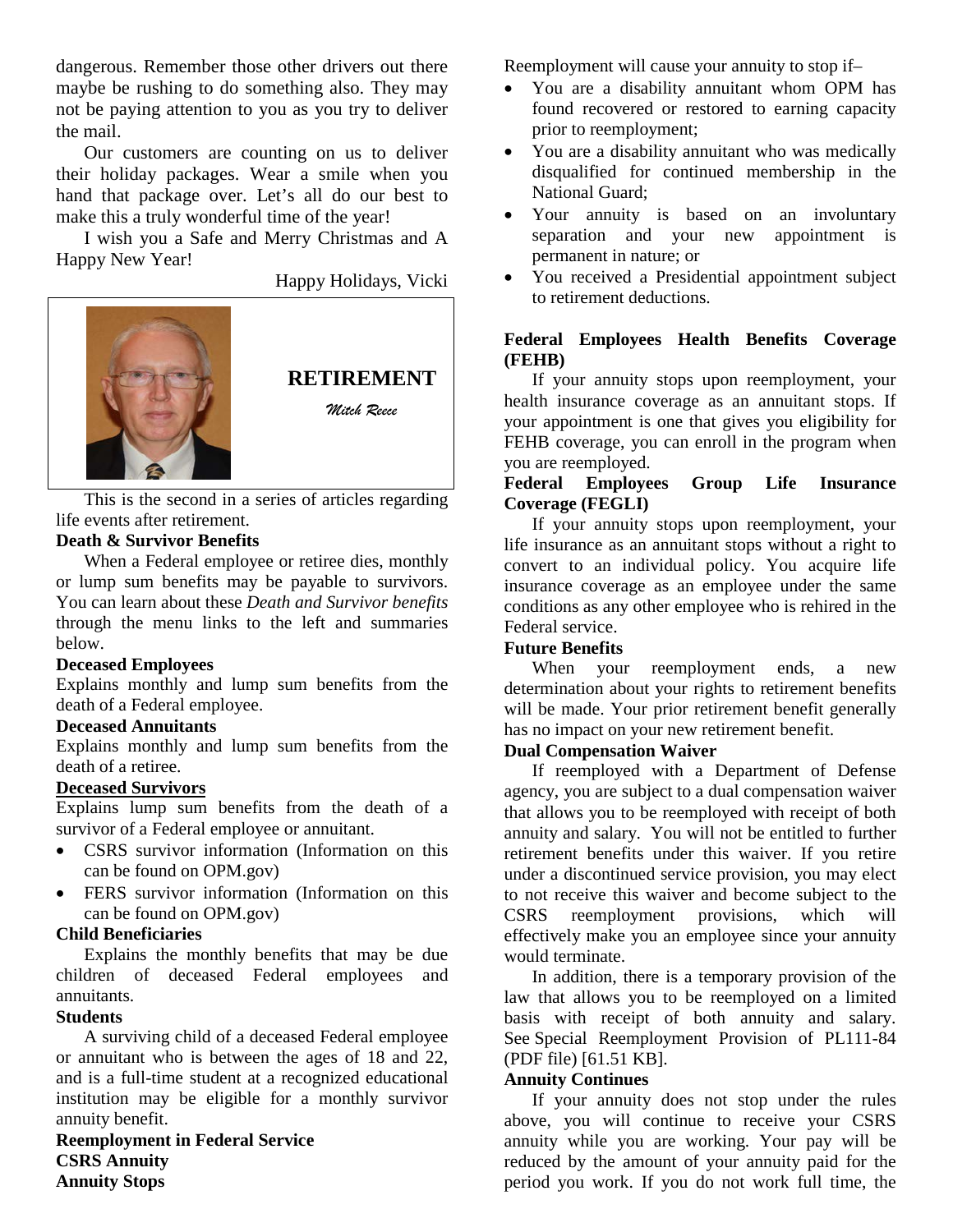dangerous. Remember those other drivers out there maybe be rushing to do something also. They may not be paying attention to you as you try to deliver the mail.

Our customers are counting on us to deliver their holiday packages. Wear a smile when you hand that package over. Let's all do our best to make this a truly wonderful time of the year!

I wish you a Safe and Merry Christmas and A Happy New Year!

Happy Holidays, Vicki



This is the second in a series of articles regarding life events after retirement.

# **Death & Survivor Benefits**

When a Federal employee or retiree dies, monthly or lump sum benefits may be payable to survivors. You can learn about these *Death and Survivor benefits* through the menu links to the left and summaries below.

# **Deceased Employees**

Explains monthly and lump sum benefits from the death of a Federal employee.

# **Deceased Annuitants**

Explains monthly and lump sum benefits from the death of a retiree.

# **Deceased Survivors**

Explains lump sum benefits from the death of a survivor of a Federal employee or annuitant.

- [CSRS survivor information](http://www.opm.gov/retirement-services/csrs-information/survivors/) (Information on this can be found on OPM.gov)
- FERS survivor information (Information on this can be found on [OPM.gov\)](http://opm.gov/)

# **Child Beneficiaries**

Explains the monthly benefits that may be due children of deceased Federal employees and annuitants.

# **Students**

A surviving child of a deceased Federal employee or annuitant who is between the ages of 18 and 22, and is a full-time student at a recognized educational institution may be eligible for a monthly survivor annuity benefit.

**Reemployment in Federal Service CSRS Annuity Annuity Stops**

Reemployment will cause your annuity to stop if–

- You are a disability annuitant whom OPM has found recovered or restored to earning capacity prior to reemployment;
- You are a disability annuitant who was medically disqualified for continued membership in the National Guard;
- Your annuity is based on an involuntary separation and your new appointment is permanent in nature; or
- You received a Presidential appointment subject to retirement deductions.

# **Federal Employees Health Benefits Coverage (FEHB)**

If your annuity stops upon reemployment, your health insurance coverage as an annuitant stops. If your appointment is one that gives you eligibility for FEHB coverage, you can enroll in the program when you are reemployed.

# **Federal Employees Group Life Insurance Coverage (FEGLI)**

If your annuity stops upon reemployment, your life insurance as an annuitant stops without a right to convert to an individual policy. You acquire life insurance coverage as an employee under the same conditions as any other employee who is rehired in the Federal service.

# **Future Benefits**

When your reemployment ends, a new determination about your rights to retirement benefits will be made. Your prior retirement benefit generally has no impact on your new retirement benefit.

# **Dual Compensation Waiver**

If reemployed with a Department of Defense agency, you are subject to a dual compensation waiver that allows you to be reemployed with receipt of both annuity and salary. You will not be entitled to further retirement benefits under this waiver. If you retire under a discontinued service provision, you may elect to not receive this waiver and become subject to the CSRS reemployment provisions, which will effectively make you an employee since your annuity would terminate.

In addition, there is a temporary provision of the law that allows you to be reemployed on a limited basis with receipt of both annuity and salary. See Special Reemployment Provision of PL111-84 (PDF file) [61.51 KB].

# **Annuity Continues**

If your annuity does not stop under the rules above, you will continue to receive your CSRS annuity while you are working. Your pay will be reduced by the amount of your annuity paid for the period you work. If you do not work full time, the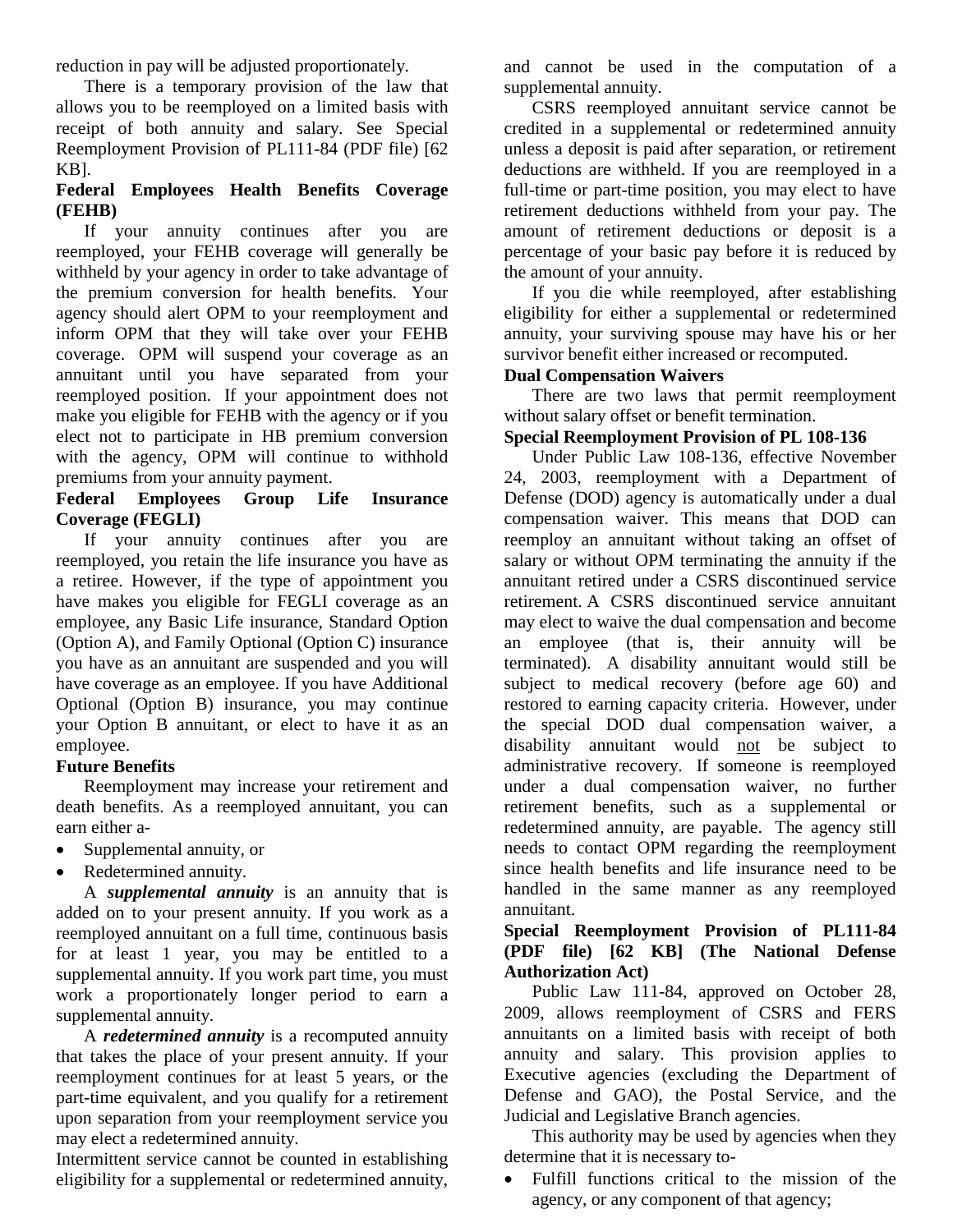reduction in pay will be adjusted proportionately.

There is a temporary provision of the law that allows you to be reemployed on a limited basis with receipt of both annuity and salary. See [Special](http://www.opm.gov/retirement-services/publications-forms/benefits-administration-letters/2010/10-101.pdf)  [Reemployment Provision of PL111-84 \(PDF file\)](http://www.opm.gov/retirement-services/publications-forms/benefits-administration-letters/2010/10-101.pdf) [62 KB].

# **Federal Employees Health Benefits Coverage (FEHB)**

If your annuity continues after you are reemployed, your FEHB coverage will generally be withheld by your agency in order to take advantage of the premium conversion for health benefits. Your agency should alert OPM to your reemployment and inform OPM that they will take over your FEHB coverage. OPM will suspend your coverage as an annuitant until you have separated from your reemployed position. If your appointment does not make you eligible for FEHB with the agency or if you elect not to participate in HB premium conversion with the agency, OPM will continue to withhold premiums from your annuity payment.

# **Federal Employees Group Life Insurance Coverage (FEGLI)**

If your annuity continues after you are reemployed, you retain the life insurance you have as a retiree. However, if the type of appointment you have makes you eligible for FEGLI coverage as an employee, any Basic Life insurance, Standard Option (Option A), and Family Optional (Option C) insurance you have as an annuitant are suspended and you will have coverage as an employee. If you have Additional Optional (Option B) insurance, you may continue your Option B annuitant, or elect to have it as an employee.

# **Future Benefits**

Reemployment may increase your retirement and death benefits. As a reemployed annuitant, you can earn either a-

- Supplemental annuity, or
- Redetermined annuity.

A *supplemental annuity* is an annuity that is added on to your present annuity. If you work as a reemployed annuitant on a full time, continuous basis for at least 1 year, you may be entitled to a supplemental annuity. If you work part time, you must work a proportionately longer period to earn a supplemental annuity.

A *redetermined annuity* is a recomputed annuity that takes the place of your present annuity. If your reemployment continues for at least 5 years, or the part-time equivalent, and you qualify for a retirement upon separation from your reemployment service you may elect a redetermined annuity.

Intermittent service cannot be counted in establishing eligibility for a supplemental or redetermined annuity,

and cannot be used in the computation of a supplemental annuity.

CSRS reemployed annuitant service cannot be credited in a supplemental or redetermined annuity unless a deposit is paid after separation, or retirement deductions are withheld. If you are reemployed in a full-time or part-time position, you may elect to have retirement deductions withheld from your pay. The amount of retirement deductions or deposit is a percentage of your basic pay before it is reduced by the amount of your annuity.

If you die while reemployed, after establishing eligibility for either a supplemental or redetermined annuity, your surviving spouse may have his or her survivor benefit either increased or recomputed.

# **Dual Compensation Waivers**

There are two laws that permit reemployment without salary offset or benefit termination.

# **Special Reemployment Provision of PL 108-136**

Under Public Law 108-136, effective November 24, 2003, reemployment with a Department of Defense (DOD) agency is automatically under a dual compensation waiver. This means that DOD can reemploy an annuitant without taking an offset of salary or without OPM terminating the annuity if the annuitant retired under a CSRS discontinued service retirement. A CSRS discontinued service annuitant may elect to waive the dual compensation and become an employee (that is, their annuity will be terminated). A disability annuitant would still be subject to medical recovery (before age 60) and restored to earning capacity criteria. However, under the special DOD dual compensation waiver, a disability annuitant would not be subject to administrative recovery. If someone is reemployed under a dual compensation waiver, no further retirement benefits, such as a supplemental or redetermined annuity, are payable. The agency still needs to contact OPM regarding the reemployment since health benefits and life insurance need to be handled in the same manner as any reemployed annuitant.

# **Special Reemployment Provision of PL111-84 (PDF file) [62 KB] (The National Defense Authorization Act)**

Public Law 111-84, approved on October 28, 2009, allows reemployment of CSRS and FERS annuitants on a limited basis with receipt of both annuity and salary. This provision applies to Executive agencies (excluding the Department of Defense and GAO), the Postal Service, and the Judicial and Legislative Branch agencies.

This authority may be used by agencies when they determine that it is necessary to-

• Fulfill functions critical to the mission of the agency, or any component of that agency;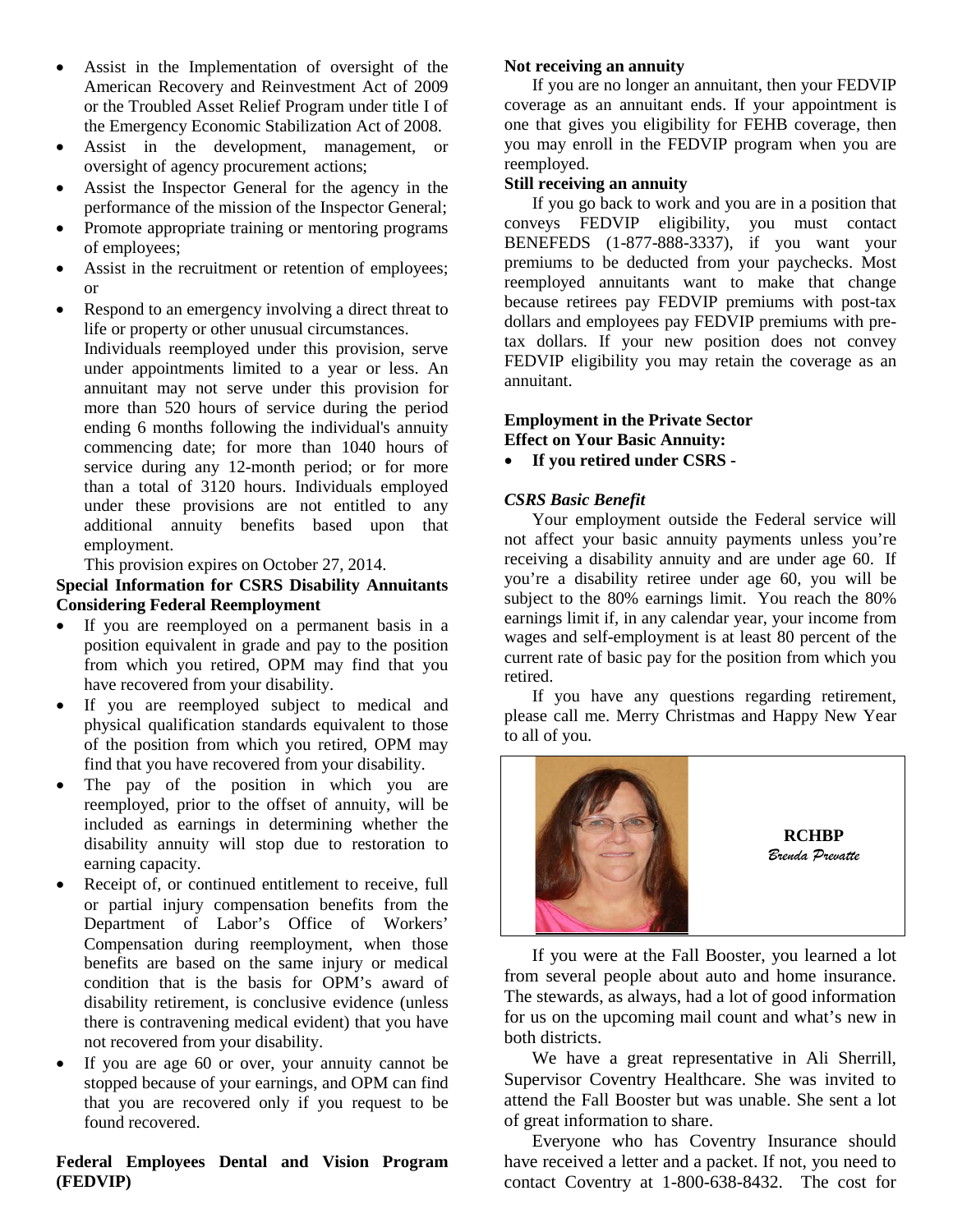- Assist in the Implementation of oversight of the American Recovery and Reinvestment Act of 2009 or the Troubled Asset Relief Program under title I of the Emergency Economic Stabilization Act of 2008.
- Assist in the development, management, or oversight of agency procurement actions;
- Assist the Inspector General for the agency in the performance of the mission of the Inspector General;
- Promote appropriate training or mentoring programs of employees;
- Assist in the recruitment or retention of employees; or
- Respond to an emergency involving a direct threat to life or property or other unusual circumstances.

Individuals reemployed under this provision, serve under appointments limited to a year or less. An annuitant may not serve under this provision for more than 520 hours of service during the period ending 6 months following the individual's annuity commencing date; for more than 1040 hours of service during any 12-month period; or for more than a total of 3120 hours. Individuals employed under these provisions are not entitled to any additional annuity benefits based upon that employment.

This provision expires on October 27, 2014.

### **Special Information for CSRS Disability Annuitants Considering Federal Reemployment**

- If you are reemployed on a permanent basis in a position equivalent in grade and pay to the position from which you retired, OPM may find that you have recovered from your disability.
- If you are reemployed subject to medical and physical qualification standards equivalent to those of the position from which you retired, OPM may find that you have recovered from your disability.
- The pay of the position in which you are reemployed, prior to the offset of annuity, will be included as earnings in determining whether the disability annuity will stop due to restoration to earning capacity.
- Receipt of, or continued entitlement to receive, full or partial injury compensation benefits from the Department of Labor's Office of Workers' Compensation during reemployment, when those benefits are based on the same injury or medical condition that is the basis for OPM's award of disability retirement, is conclusive evidence (unless there is contravening medical evident) that you have not recovered from your disability.
- If you are age 60 or over, your annuity cannot be stopped because of your earnings, and OPM can find that you are recovered only if you request to be found recovered.

**Federal Employees Dental and Vision Program (FEDVIP)**

# **Not receiving an annuity**

If you are no longer an annuitant, then your FEDVIP coverage as an annuitant ends. If your appointment is one that gives you eligibility for FEHB coverage, then you may enroll in the FEDVIP program when you are reemployed.

# **Still receiving an annuity**

If you go back to work and you are in a position that conveys FEDVIP eligibility, you must contact BENEFEDS (1-877-888-3337), if you want your premiums to be deducted from your paychecks. Most reemployed annuitants want to make that change because retirees pay FEDVIP premiums with post-tax dollars and employees pay FEDVIP premiums with pretax dollars. If your new position does not convey FEDVIP eligibility you may retain the coverage as an annuitant.

#### **Employment in the Private Sector Effect on Your Basic Annuity:**

# • **If you retired under CSRS -**

# *CSRS Basic Benefit*

Your employment outside the Federal service will not affect your basic annuity payments unless you're receiving a disability annuity and are under age 60. If you're a disability retiree under age 60, you will be subject to the 80% earnings limit. You reach the 80% earnings limit if, in any calendar year, your income from wages and self-employment is at least 80 percent of the current rate of basic pay for the position from which you retired.

If you have any questions regarding retirement, please call me. Merry Christmas and Happy New Year to all of you.



**RCHBP** *Brenda Prevatte*

If you were at the Fall Booster, you learned a lot from several people about auto and home insurance. The stewards, as always, had a lot of good information for us on the upcoming mail count and what's new in both districts.

We have a great representative in Ali Sherrill, Supervisor Coventry Healthcare. She was invited to attend the Fall Booster but was unable. She sent a lot of great information to share.

Everyone who has Coventry Insurance should have received a letter and a packet. If not, you need to contact Coventry at 1-800-638-8432. The cost for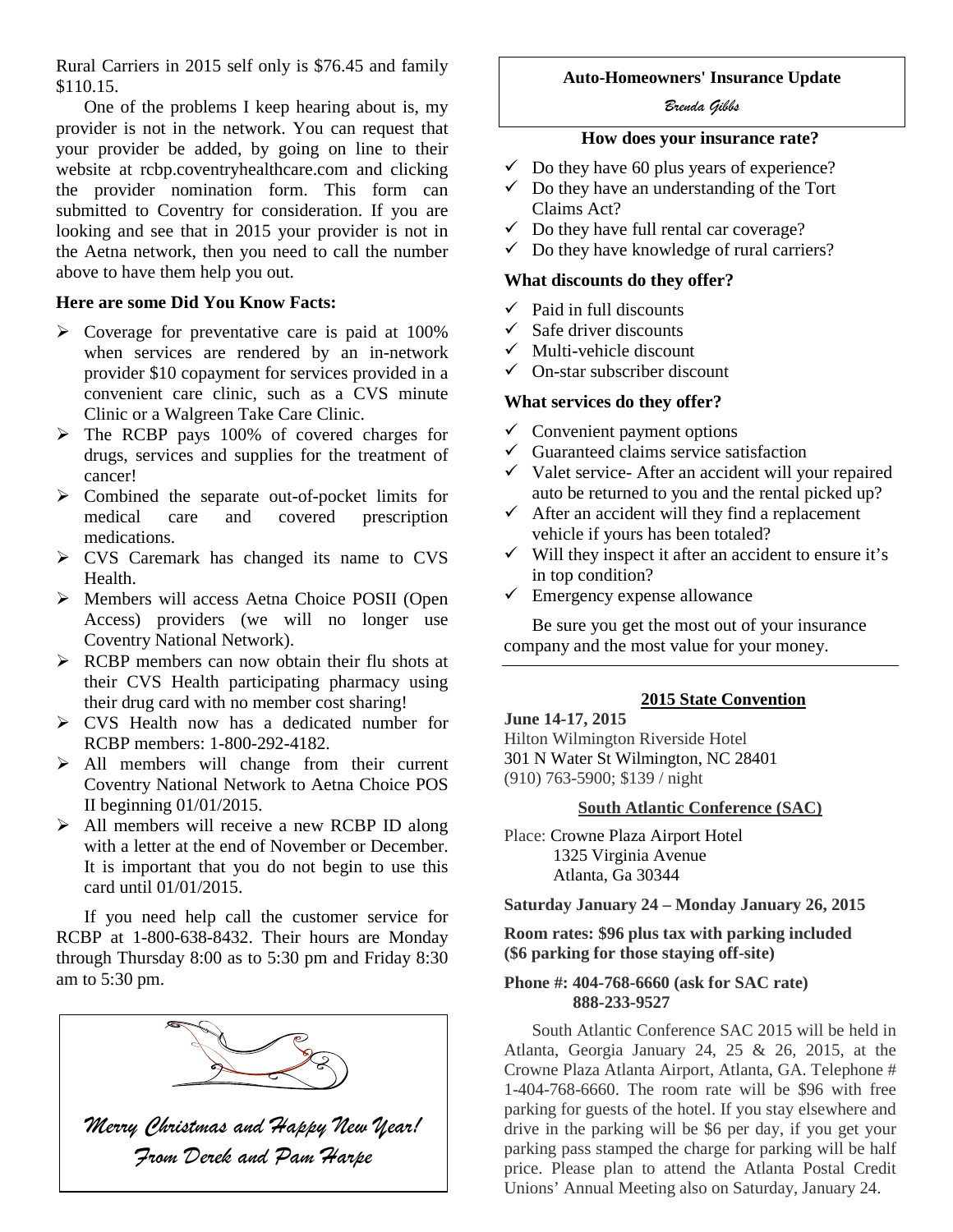Rural Carriers in 2015 self only is \$76.45 and family \$110.15.

One of the problems I keep hearing about is, my provider is not in the network. You can request that your provider be added, by going on line to their website at rcbp.coventryhealthcare.com and clicking the provider nomination form. This form can submitted to Coventry for consideration. If you are looking and see that in 2015 your provider is not in the Aetna network, then you need to call the number above to have them help you out.

# **Here are some Did You Know Facts:**

- $\triangleright$  Coverage for preventative care is paid at 100% when services are rendered by an in-network provider \$10 copayment for services provided in a convenient care clinic, such as a CVS minute Clinic or a Walgreen Take Care Clinic.
- The RCBP pays 100% of covered charges for drugs, services and supplies for the treatment of cancer!
- Combined the separate out-of-pocket limits for medical care and covered prescription medications.
- CVS Caremark has changed its name to CVS Health.
- Members will access Aetna Choice POSII (Open Access) providers (we will no longer use Coventry National Network).
- RCBP members can now obtain their flu shots at their CVS Health participating pharmacy using their drug card with no member cost sharing!
- CVS Health now has a dedicated number for RCBP members: 1-800-292-4182.
- $\geq$  All members will change from their current Coventry National Network to Aetna Choice POS II beginning 01/01/2015.
- > All members will receive a new RCBP ID along with a letter at the end of November or December. It is important that you do not begin to use this card until 01/01/2015.

If you need help call the customer service for RCBP at 1-800-638-8432. Their hours are Monday through Thursday 8:00 as to 5:30 pm and Friday 8:30 am to 5:30 pm.



# **Auto-Homeowners' Insurance Update**

#### *Brenda Gibbs*

# **How does your insurance rate?**

- $\checkmark$  Do they have 60 plus years of experience?
- $\checkmark$  Do they have an understanding of the Tort Claims Act?
- $\checkmark$  Do they have full rental car coverage?
- $\checkmark$  Do they have knowledge of rural carriers?

#### **What discounts do they offer?**

- $\checkmark$  Paid in full discounts
- $\checkmark$  Safe driver discounts
- $\checkmark$  Multi-vehicle discount
- On-star subscriber discount

#### **What services do they offer?**

- $\checkmark$  Convenient payment options
- $\checkmark$  Guaranteed claims service satisfaction
- $\checkmark$  Valet service- After an accident will your repaired auto be returned to you and the rental picked up?
- $\checkmark$  After an accident will they find a replacement vehicle if yours has been totaled?
- $\checkmark$  Will they inspect it after an accident to ensure it's in top condition?
- $\checkmark$  Emergency expense allowance

Be sure you get the most out of your insurance company and the most value for your money.

# **2015 State Convention**

# **June 14-17, 2015**

Hilton Wilmington Riverside Hotel [301 N Water St Wilmington, NC 28401](http://www.google.com/url?sa=D&oi=plus&q=https://maps.google.com/maps?expflags%3Denable_star_based_justifications:true%26ie%3DUTF8%26cid%3D538575806005535051%26q%3DHilton%2BWilmington%2BRiverside%26iwloc%3DA%26gl%3DUS%26hl%3Den) (910) 763-5900; \$139 / night

### **South Atlantic Conference (SAC)**

Place: [Crowne Plaza Airport Hotel](http://www.crowneplaza.com/hotels/us/en/atlanta/atlat/hoteldetail)  [1325 Virginia Avenue](http://www.crowneplaza.com/hotels/us/en/atlanta/atlat/hoteldetail) [Atlanta, Ga 30344](http://www.crowneplaza.com/hotels/us/en/atlanta/atlat/hoteldetail)

#### **Saturday January 24 – Monday January 26, 2015**

#### **Room rates: \$96 plus tax with parking included (\$6 parking for those staying off-site)**

#### **Phone #: 404-768-6660 (ask for SAC rate) 888-233-9527**

South Atlantic Conference SAC 2015 will be held in Atlanta, Georgia January 24, 25 & 26, 2015, at the Crowne Plaza Atlanta Airport, Atlanta, GA. Telephone # 1-404-768-6660. The room rate will be \$96 with free parking for guests of the hotel. If you stay elsewhere and drive in the parking will be \$6 per day, if you get your parking pass stamped the charge for parking will be half price. Please plan to attend the Atlanta Postal Credit Unions' Annual Meeting also on Saturday, January 24.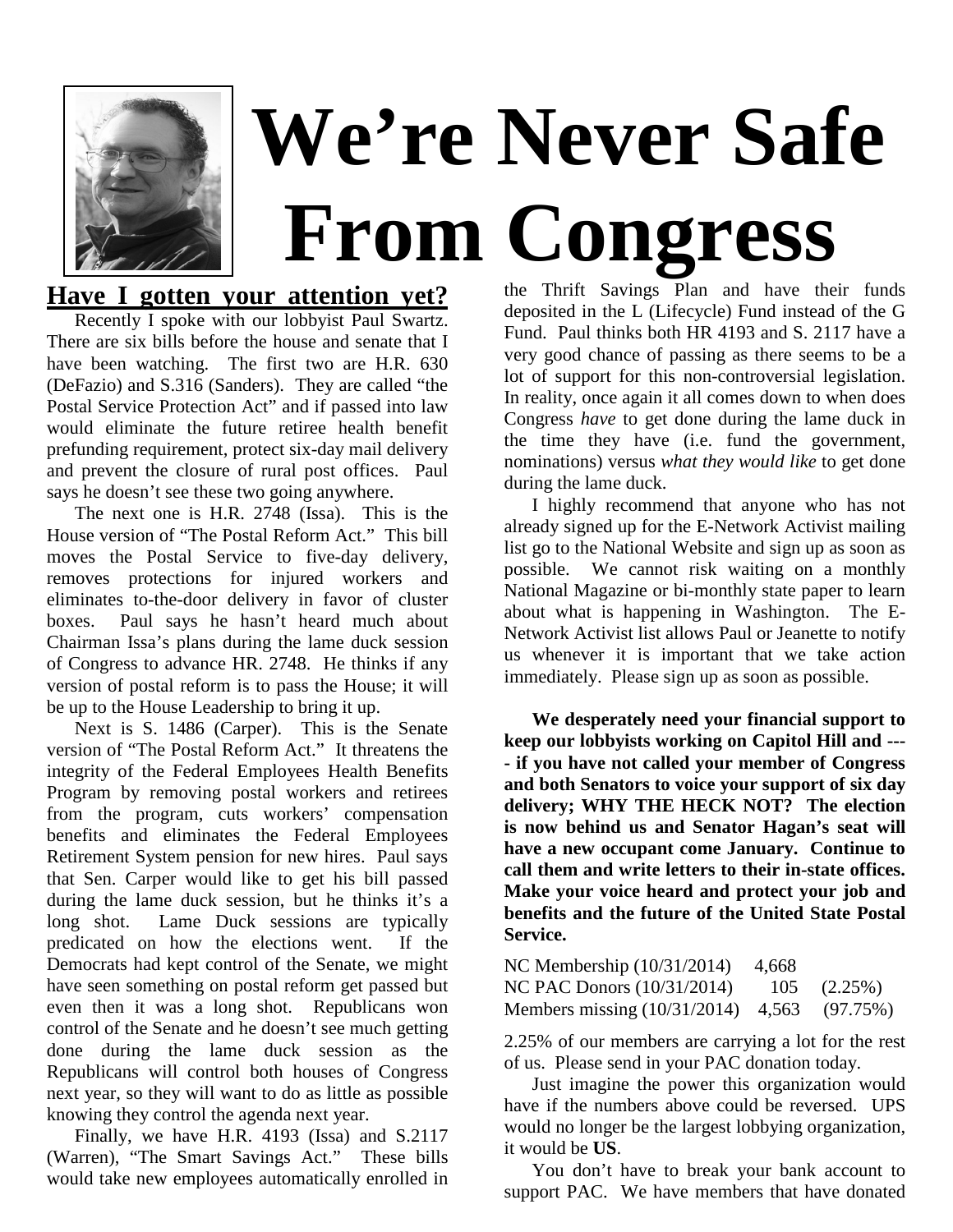

# **Have I gotten your attention yet?**

Recently I spoke with our lobbyist Paul Swartz. There are six bills before the house and senate that I have been watching. The first two are H.R. 630 (DeFazio) and S.316 (Sanders). They are called "the Postal Service Protection Act" and if passed into law would eliminate the future retiree health benefit prefunding requirement, protect six-day mail delivery and prevent the closure of rural post offices. Paul says he doesn't see these two going anywhere.

The next one is H.R. 2748 (Issa). This is the House version of "The Postal Reform Act." This bill moves the Postal Service to five-day delivery, removes protections for injured workers and eliminates to-the-door delivery in favor of cluster boxes. Paul says he hasn't heard much about Chairman Issa's plans during the lame duck session of Congress to advance HR. 2748. He thinks if any version of postal reform is to pass the House; it will be up to the House Leadership to bring it up.

Next is S. 1486 (Carper). This is the Senate version of "The Postal Reform Act." It threatens the integrity of the Federal Employees Health Benefits Program by removing postal workers and retirees from the program, cuts workers' compensation benefits and eliminates the Federal Employees Retirement System pension for new hires. Paul says that Sen. Carper would like to get his bill passed during the lame duck session, but he thinks it's a long shot. Lame Duck sessions are typically predicated on how the elections went. If the Democrats had kept control of the Senate, we might have seen something on postal reform get passed but even then it was a long shot. Republicans won control of the Senate and he doesn't see much getting done during the lame duck session as the Republicans will control both houses of Congress next year, so they will want to do as little as possible knowing they control the agenda next year.

Finally, we have H.R. 4193 (Issa) and S.2117 (Warren), "The Smart Savings Act." These bills would take new employees automatically enrolled in

the Thrift Savings Plan and have their funds deposited in the L (Lifecycle) Fund instead of the G Fund. Paul thinks both HR 4193 and S. 2117 have a very good chance of passing as there seems to be a lot of support for this non-controversial legislation. In reality, once again it all comes down to when does Congress *have* to get done during the lame duck in the time they have (i.e. fund the government, nominations) versus *what they would like* to get done during the lame duck.

I highly recommend that anyone who has not already signed up for the E-Network Activist mailing list go to the National Website and sign up as soon as possible. We cannot risk waiting on a monthly National Magazine or bi-monthly state paper to learn about what is happening in Washington. The E-Network Activist list allows Paul or Jeanette to notify us whenever it is important that we take action immediately. Please sign up as soon as possible.

**We desperately need your financial support to keep our lobbyists working on Capitol Hill and --- - if you have not called your member of Congress and both Senators to voice your support of six day delivery; WHY THE HECK NOT? The election is now behind us and Senator Hagan's seat will have a new occupant come January. Continue to call them and write letters to their in-state offices. Make your voice heard and protect your job and benefits and the future of the United State Postal Service.**

| NC Membership $(10/31/2014)$                | -4.668 |               |
|---------------------------------------------|--------|---------------|
| NC PAC Donors $(10/31/2014)$                |        | $105(2.25\%)$ |
| Members missing (10/31/2014) 4,563 (97.75%) |        |               |

2.25% of our members are carrying a lot for the rest of us. Please send in your PAC donation today.

Just imagine the power this organization would have if the numbers above could be reversed. UPS would no longer be the largest lobbying organization, it would be **US**.

You don't have to break your bank account to support PAC. We have members that have donated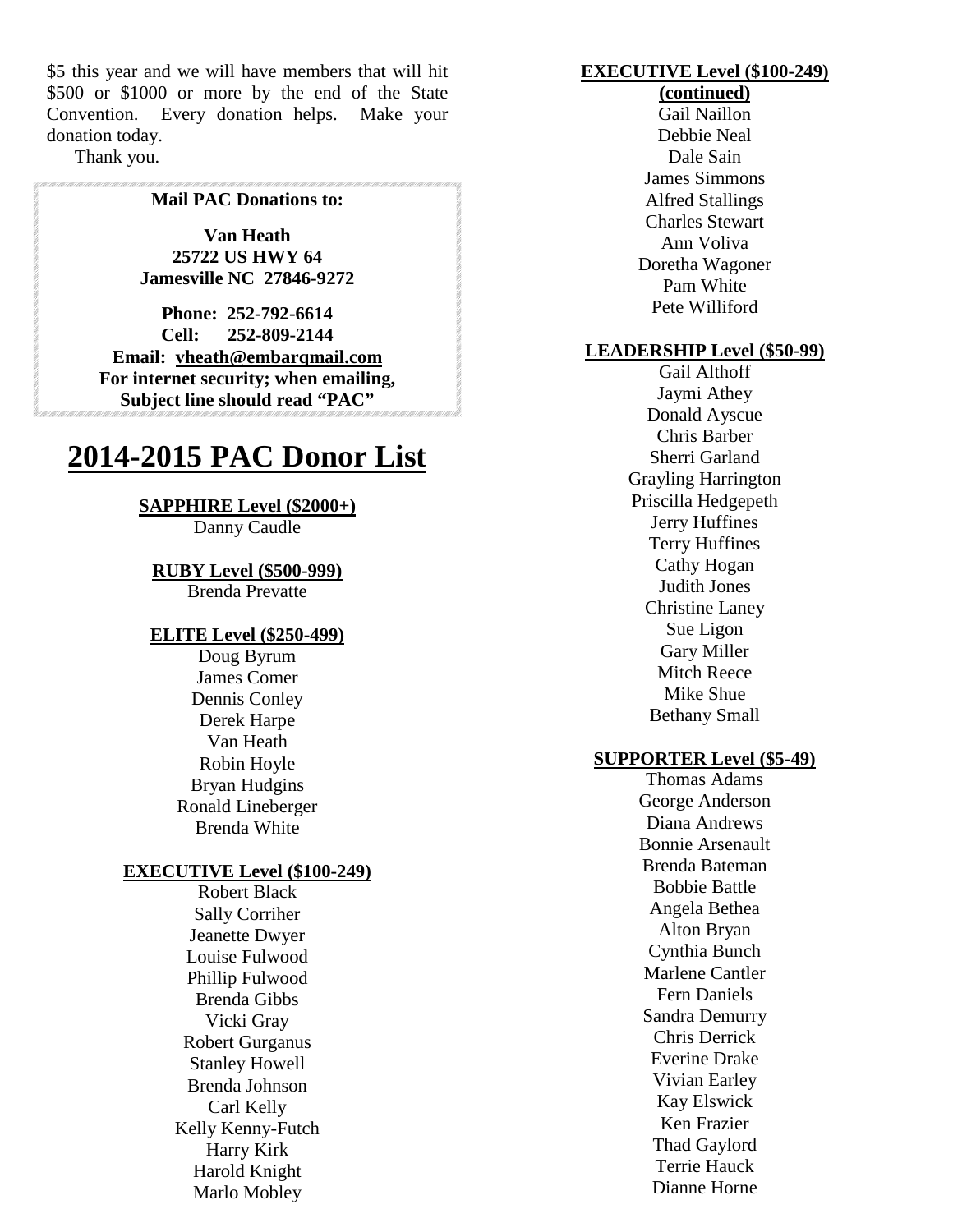\$5 this year and we will have members that will hit \$500 or \$1000 or more by the end of the State Convention. Every donation helps. Make your donation today.

Thank you.

#### **Mail PAC Donations to:**

**Van Heath 25722 US HWY 64 Jamesville NC 27846-9272**

**Phone: 252-792-6614 Cell: 252-809-2144 Email: vheath@embarqmail.com For internet security; when emailing, Subject line should read "PAC"**

# **2014-2015 PAC Donor List**

#### **SAPPHIRE Level (\$2000+)**

Danny Caudle

#### **RUBY Level (\$500-999)**

Brenda Prevatte

#### **ELITE Level (\$250-499)**

Doug Byrum James Comer Dennis Conley Derek Harpe Van Heath Robin Hoyle Bryan Hudgins Ronald Lineberger Brenda White

#### **EXECUTIVE Level (\$100-249)**

Robert Black Sally Corriher Jeanette Dwyer Louise Fulwood Phillip Fulwood Brenda Gibbs Vicki Gray Robert Gurganus Stanley Howell Brenda Johnson Carl Kelly Kelly Kenny-Futch Harry Kirk Harold Knight Marlo Mobley

# **EXECUTIVE Level (\$100-249)**

# **(continued)**

Gail Naillon Debbie Neal Dale Sain James Simmons Alfred Stallings Charles Stewart Ann Voliva Doretha Wagoner Pam White Pete Williford

### **LEADERSHIP Level (\$50-99)**

Gail Althoff Jaymi Athey Donald Ayscue Chris Barber Sherri Garland Grayling Harrington Priscilla Hedgepeth Jerry Huffines Terry Huffines Cathy Hogan Judith Jones Christine Laney Sue Ligon Gary Miller Mitch Reece Mike Shue Bethany Small

#### **SUPPORTER Level (\$5-49)**

Thomas Adams George Anderson Diana Andrews Bonnie Arsenault Brenda Bateman Bobbie Battle Angela Bethea Alton Bryan Cynthia Bunch Marlene Cantler Fern Daniels Sandra Demurry Chris Derrick Everine Drake Vivian Earley Kay Elswick Ken Frazier Thad Gaylord Terrie Hauck Dianne Horne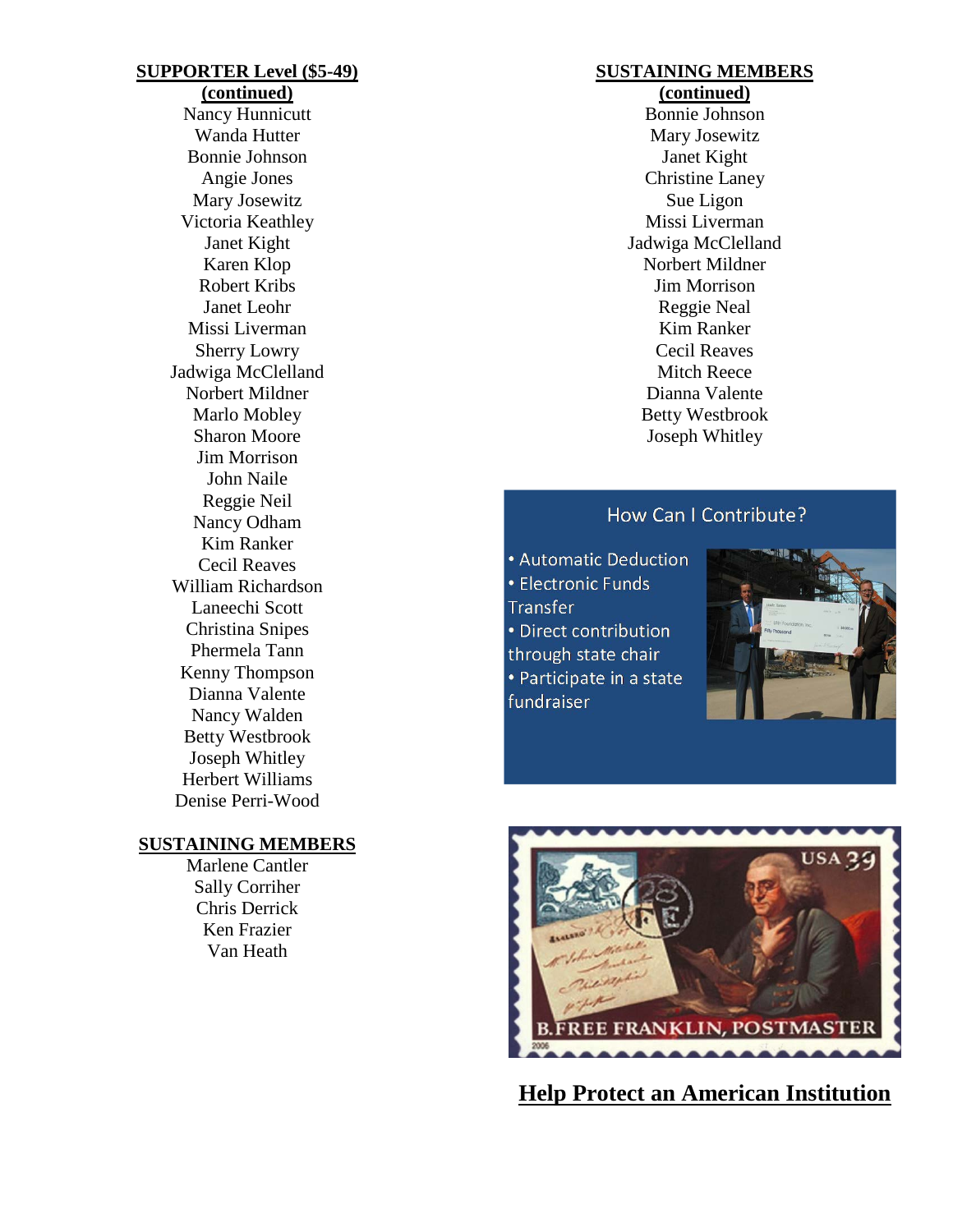### **SUPPORTER Level (\$5-49)**

**(continued)** Nancy Hunnicutt Wanda Hutter Bonnie Johnson Angie Jones Mary Josewitz Victoria Keathley Janet Kight Karen Klop Robert Kribs Janet Leohr Missi Liverman Sherry Lowry Jadwiga McClelland Norbert Mildner Marlo Mobley Sharon Moore Jim Morrison John Naile Reggie Neil Nancy Odham Kim Ranker Cecil Reaves William Richardson Laneechi Scott Christina Snipes Phermela Tann Kenny Thompson Dianna Valente Nancy Walden Betty Westbrook Joseph Whitley Herbert Williams Denise Perri-Wood

# **SUSTAINING MEMBERS**

Marlene Cantler Sally Corriher Chris Derrick Ken Frazier Van Heath

# **SUSTAINING MEMBERS**

**(continued)** Bonnie Johnson Mary Josewitz Janet Kight Christine Laney Sue Ligon Missi Liverman Jadwiga McClelland Norbert Mildner Jim Morrison Reggie Neal Kim Ranker Cecil Reaves Mitch Reece Dianna Valente Betty Westbrook Joseph Whitley

# How Can I Contribute?

• Automatic Deduction • Electronic Funds Transfer • Direct contribution through state chair • Participate in a state fundraiser





**Help Protect an American Institution**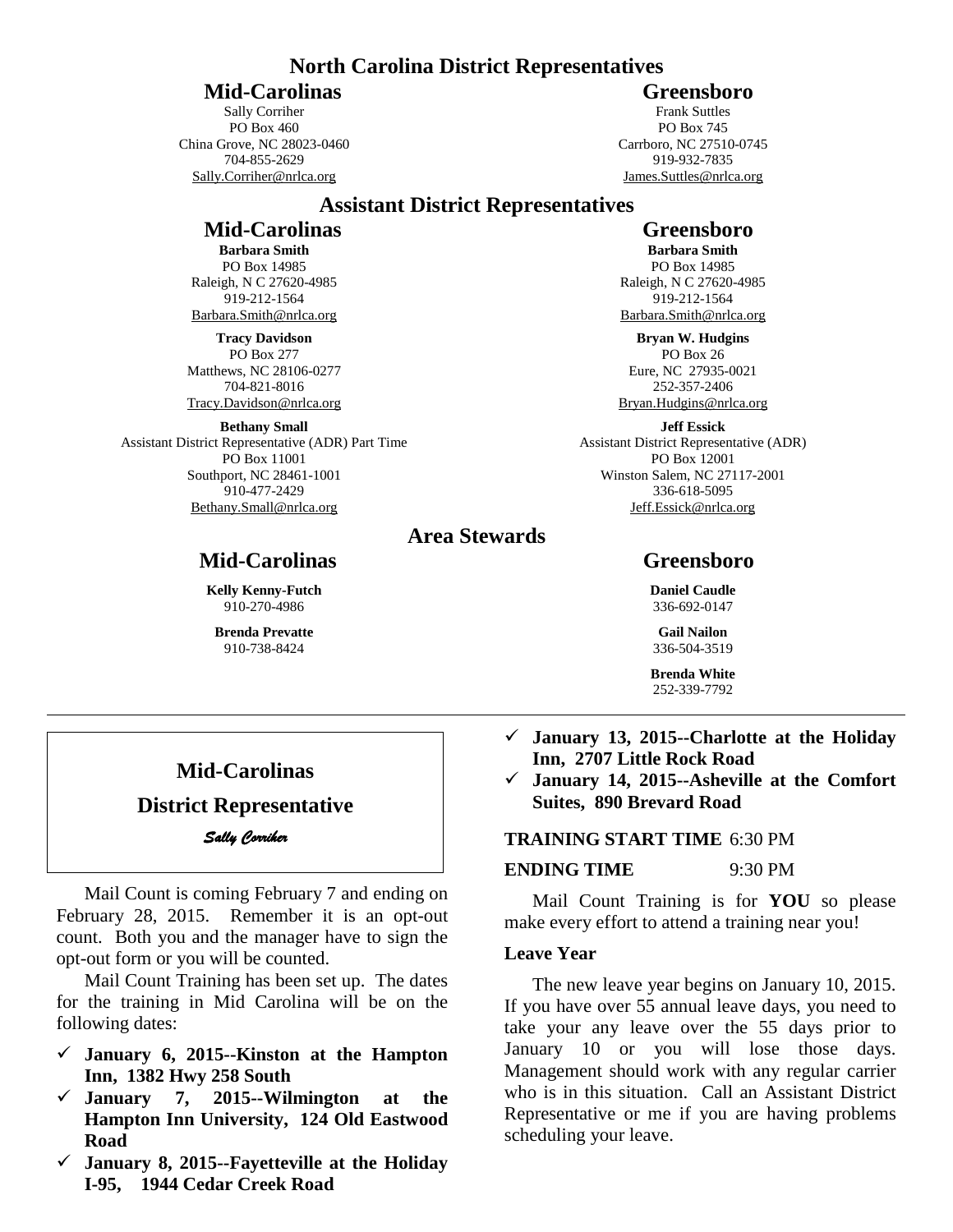#### **North Carolina District Representatives**

**Mid-Carolinas** Greensboro

Sally Corriher PO Box 460 China Grove, NC 28023-0460 704-855-2629 Sally.Corriher@nrlca.org

Frank Suttles PO Box 745 Carrboro, NC 27510-0745 919-932-7835 James.Suttles@nrlca.org

# **Assistant District Representatives**

# **Mid-Carolinas** Greensboro

**Barbara Smith** PO Box 14985 Raleigh, N C 27620-4985 919-212-1564 Barbara.Smith@nrlca.org

**Tracy Davidson** PO Box 277 Matthews, NC 28106-0277 704-821-8016 Tracy.Davidson@nrlca.org

**Bethany Small** Assistant District Representative (ADR) Part Time PO Box 11001 Southport, NC 28461-1001 910-477-2429 Bethany.Small@nrlca.org

> **Kelly Kenny-Futch** 910-270-4986 **Brenda Prevatte** 910-738-8424

# **Area Stewards**

**Barbara Smith** PO Box 14985 Raleigh, N C 27620-4985 919-212-1564 Barbara.Smith@nrlca.org

**Bryan W. Hudgins** PO Box 26 Eure, NC 27935-0021 252-357-2406 Bryan.Hudgins@nrlca.org

**Jeff Essick** Assistant District Representative (ADR) PO Box 12001 Winston Salem, NC 27117-2001 336-618-5095 Jeff.Essick@nrlca.org

# **Mid-Carolinas Greensboro**

**Daniel Caudle** 336-692-0147

**Gail Nailon** 336-504-3519

**Brenda White** 252-339-7792

# **Mid-Carolinas**

# **District Representative** *Sally Corriher*

Mail Count is coming February 7 and ending on February 28, 2015. Remember it is an opt-out count. Both you and the manager have to sign the opt-out form or you will be counted.

Mail Count Training has been set up. The dates for the training in Mid Carolina will be on the following dates:

- **January 6, 2015--Kinston at the Hampton Inn, 1382 Hwy 258 South**
- **January 7, 2015--Wilmington at the Hampton Inn University, 124 Old Eastwood Road**
- **January 8, 2015--Fayetteville at the Holiday I-95, 1944 Cedar Creek Road**
- **January 13, 2015--Charlotte at the Holiday Inn, 2707 Little Rock Road**
- **January 14, 2015--Asheville at the Comfort Suites, 890 Brevard Road**

# **TRAINING START TIME** 6:30 PM

# **ENDING TIME** 9:30 PM

Mail Count Training is for **YOU** so please make every effort to attend a training near you!

#### **Leave Year**

The new leave year begins on January 10, 2015. If you have over 55 annual leave days, you need to take your any leave over the 55 days prior to January 10 or you will lose those days. Management should work with any regular carrier who is in this situation. Call an Assistant District Representative or me if you are having problems scheduling your leave.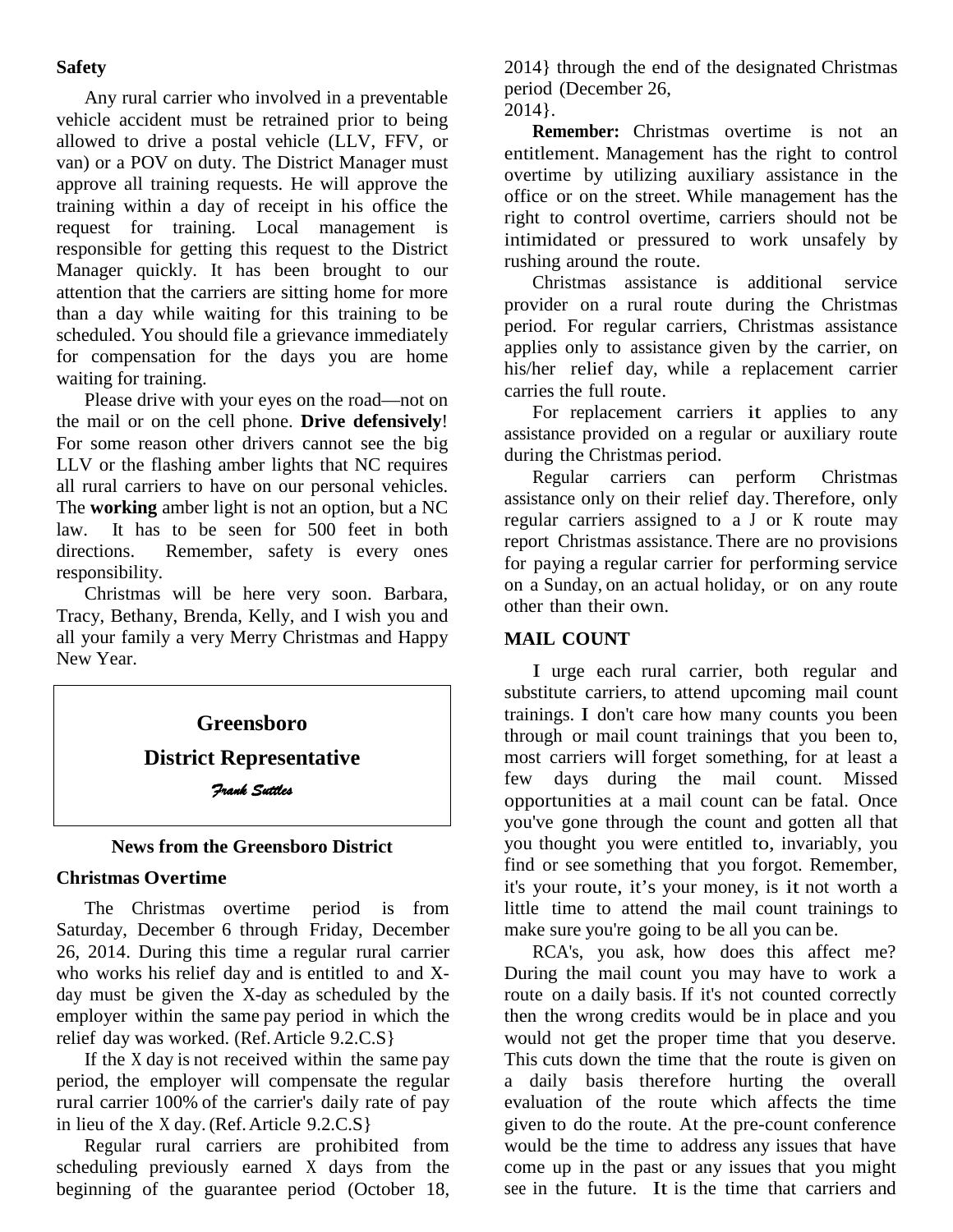# **Safety**

Any rural carrier who involved in a preventable vehicle accident must be retrained prior to being allowed to drive a postal vehicle (LLV, FFV, or van) or a POV on duty. The District Manager must approve all training requests. He will approve the training within a day of receipt in his office the request for training. Local management is responsible for getting this request to the District Manager quickly. It has been brought to our attention that the carriers are sitting home for more than a day while waiting for this training to be scheduled. You should file a grievance immediately for compensation for the days you are home waiting for training.

Please drive with your eyes on the road—not on the mail or on the cell phone. **Drive defensively**! For some reason other drivers cannot see the big LLV or the flashing amber lights that NC requires all rural carriers to have on our personal vehicles. The **working** amber light is not an option, but a NC law. It has to be seen for 500 feet in both directions. Remember, safety is every ones Remember, safety is every ones responsibility.

Christmas will be here very soon. Barbara, Tracy, Bethany, Brenda, Kelly, and I wish you and all your family a very Merry Christmas and Happy New Year.

# **Greensboro**

**District Representative** *Frank Suttles* 

# **News from the Greensboro District**

# **Christmas Overtime**

The Christmas overtime period is from Saturday, December 6 through Friday, December 26, 2014. During this time a regular rural carrier who works his relief day and is entitled to and Xday must be given the X-day as scheduled by the employer within the same pay period in which the relief day was worked. (Ref.Article 9.2.C.S}

If the X day is not received within the same pay period, the employer will compensate the regular rural carrier 100% of the carrier's daily rate of pay in lieu of the X day. (Ref.Article 9.2.C.S}

Regular rural carriers are prohibited from scheduling previously earned X days from the beginning of the guarantee period (October 18, 2014} through the end of the designated Christmas period (December 26,

2014}.

**Remember:** Christmas overtime is not an entitlement. Management has the right to control overtime by utilizing auxiliary assistance in the office or on the street. While management has the right to control overtime, carriers should not be intimidated or pressured to work unsafely by rushing around the route.

Christmas assistance is additional service provider on a rural route during the Christmas period. For regular carriers, Christmas assistance applies only to assistance given by the carrier, on his/her relief day, while a replacement carrier carries the full route.

For replacement carriers it applies to any assistance provided on a regular or auxiliary route during the Christmas period.

Regular carriers can perform Christmas assistance only on their relief day. Therefore, only regular carriers assigned to a J or K route may report Christmas assistance. There are no provisions for paying a regular carrier for performing service on a Sunday, on an actual holiday, or on any route other than their own.

# **MAIL COUNT**

I urge each rural carrier, both regular and substitute carriers, to attend upcoming mail count trainings. I don't care how many counts you been through or mail count trainings that you been to, most carriers will forget something, for at least a few days during the mail count. Missed opportunities at a mail count can be fatal. Once you've gone through the count and gotten all that you thought you were entitled to, invariably, you find or see something that you forgot. Remember, it's your route, it's your money, is it not worth a little time to attend the mail count trainings to make sure you're going to be all you can be.

RCA's, you ask, how does this affect me? During the mail count you may have to work a route on a daily basis. If it's not counted correctly then the wrong credits would be in place and you would not get the proper time that you deserve. This cuts down the time that the route is given on a daily basis therefore hurting the overall evaluation of the route which affects the time given to do the route. At the pre-count conference would be the time to address any issues that have come up in the past or any issues that you might see in the future. It is the time that carriers and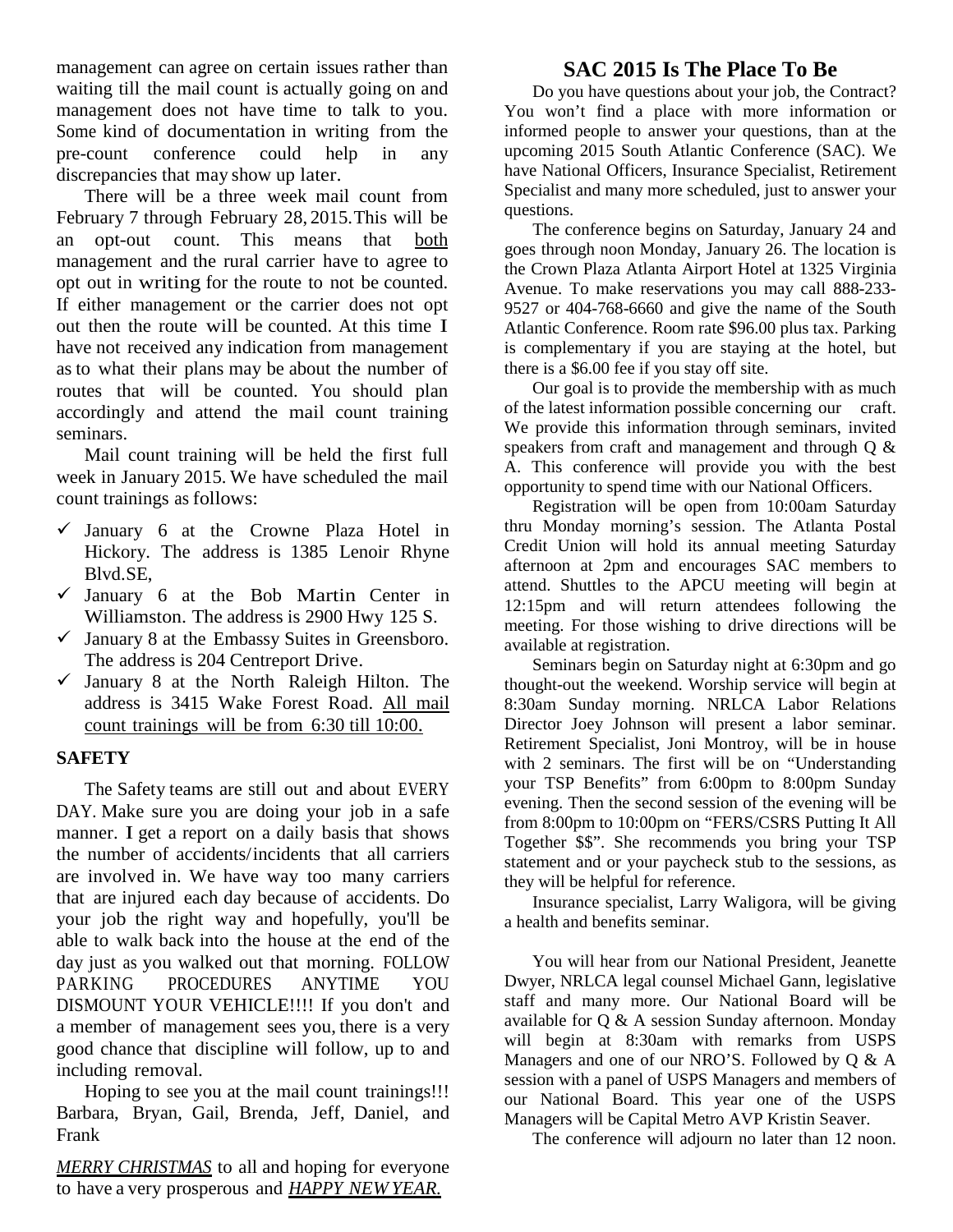management can agree on certain issues rather than waiting till the mail count is actually going on and management does not have time to talk to you. Some kind of documentation in writing from the pre-count conference could help in any discrepancies that may show up later.

There will be a three week mail count from February 7 through February 28, 2015.This will be an opt-out count. This means that both management and the rural carrier have to agree to opt out in writing for the route to not be counted. If either management or the carrier does not opt out then the route will be counted. At this time I have not received any indication from management as to what their plans may be about the number of routes that will be counted. You should plan accordingly and attend the mail count training seminars.

Mail count training will be held the first full week in January 2015. We have scheduled the mail count trainings as follows:

- $\checkmark$  January 6 at the Crowne Plaza Hotel in Hickory. The address is 1385 Lenoir Rhyne Blvd.SE,
- $\checkmark$  January 6 at the Bob Martin Center in Williamston. The address is 2900 Hwy 125 S.
- $\checkmark$  January 8 at the Embassy Suites in Greensboro. The address is 204 Centreport Drive.
- $\checkmark$  January 8 at the North Raleigh Hilton. The address is 3415 Wake Forest Road. All mail count trainings will be from 6:30 till 10:00.

# **SAFETY**

The Safety teams are still out and about EVERY DAY. Make sure you are doing your job in a safe manner. I get a report on a daily basis that shows the number of accidents/ incidents that all carriers are involved in. We have way too many carriers that are injured each day because of accidents. Do your job the right way and hopefully, you'll be able to walk back into the house at the end of the day just as you walked out that morning. FOLLOW PARKING PROCEDURES ANYTIME YOU DISMOUNT YOUR VEHICLE!!!! If you don't and a member of management sees you, there is a very good chance that discipline will follow, up to and including removal.

Hoping to see you at the mail count trainings!!! Barbara, Bryan, Gail, Brenda, Jeff, Daniel, and Frank

*MERRY CHRISTMAS* to all and hoping for everyone to have a very prosperous and *HAPPY NEW YEAR.*

# **SAC 2015 Is The Place To Be**

Do you have questions about your job, the Contract? You won't find a place with more information or informed people to answer your questions, than at the upcoming 2015 South Atlantic Conference (SAC). We have National Officers, Insurance Specialist, Retirement Specialist and many more scheduled, just to answer your questions.

The conference begins on Saturday, January 24 and goes through noon Monday, January 26. The location is the Crown Plaza Atlanta Airport Hotel at 1325 Virginia Avenue. To make reservations you may call 888-233- 9527 or 404-768-6660 and give the name of the South Atlantic Conference. Room rate \$96.00 plus tax. Parking is complementary if you are staying at the hotel, but there is a \$6.00 fee if you stay off site.

Our goal is to provide the membership with as much of the latest information possible concerning our craft. We provide this information through seminars, invited speakers from craft and management and through Q & A. This conference will provide you with the best opportunity to spend time with our National Officers.

Registration will be open from 10:00am Saturday thru Monday morning's session. The Atlanta Postal Credit Union will hold its annual meeting Saturday afternoon at 2pm and encourages SAC members to attend. Shuttles to the APCU meeting will begin at 12:15pm and will return attendees following the meeting. For those wishing to drive directions will be available at registration.

Seminars begin on Saturday night at 6:30pm and go thought-out the weekend. Worship service will begin at 8:30am Sunday morning. NRLCA Labor Relations Director Joey Johnson will present a labor seminar. Retirement Specialist, Joni Montroy, will be in house with 2 seminars. The first will be on "Understanding your TSP Benefits" from 6:00pm to 8:00pm Sunday evening. Then the second session of the evening will be from 8:00pm to 10:00pm on "FERS/CSRS Putting It All Together \$\$". She recommends you bring your TSP statement and or your paycheck stub to the sessions, as they will be helpful for reference.

Insurance specialist, Larry Waligora, will be giving a health and benefits seminar.

You will hear from our National President, Jeanette Dwyer, NRLCA legal counsel Michael Gann, legislative staff and many more. Our National Board will be available for Q & A session Sunday afternoon. Monday will begin at 8:30am with remarks from USPS Managers and one of our NRO'S. Followed by Q & A session with a panel of USPS Managers and members of our National Board. This year one of the USPS Managers will be Capital Metro AVP Kristin Seaver.

The conference will adjourn no later than 12 noon.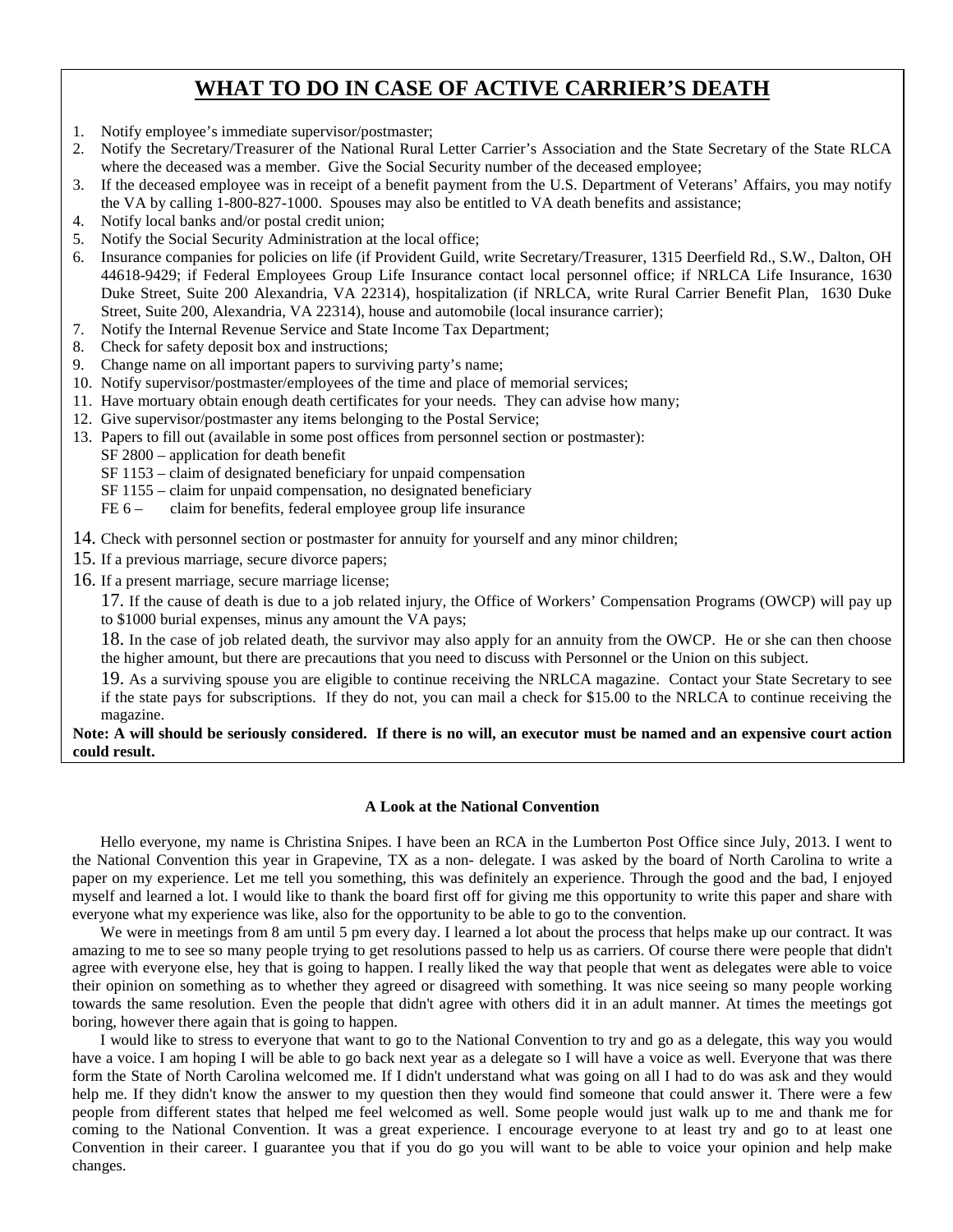# **WHAT TO DO IN CASE OF ACTIVE CARRIER'S DEATH**

- 1. Notify employee's immediate supervisor/postmaster;
- 2. Notify the Secretary/Treasurer of the National Rural Letter Carrier's Association and the State Secretary of the State RLCA where the deceased was a member. Give the Social Security number of the deceased employee;
- 3. If the deceased employee was in receipt of a benefit payment from the U.S. Department of Veterans' Affairs, you may notify the VA by calling 1-800-827-1000. Spouses may also be entitled to VA death benefits and assistance;
- 4. Notify local banks and/or postal credit union;
- 5. Notify the Social Security Administration at the local office;
- 6. Insurance companies for policies on life (if Provident Guild, write Secretary/Treasurer, 1315 Deerfield Rd., S.W., Dalton, OH 44618-9429; if Federal Employees Group Life Insurance contact local personnel office; if NRLCA Life Insurance, 1630 Duke Street, Suite 200 Alexandria, VA 22314), hospitalization (if NRLCA, write Rural Carrier Benefit Plan, 1630 Duke Street, Suite 200, Alexandria, VA 22314), house and automobile (local insurance carrier);
- 7. Notify the Internal Revenue Service and State Income Tax Department;<br>8. Check for safety deposit box and instructions:
- Check for safety deposit box and instructions;
- 9. Change name on all important papers to surviving party's name;
- 10. Notify supervisor/postmaster/employees of the time and place of memorial services;
- 11. Have mortuary obtain enough death certificates for your needs. They can advise how many;
- 12. Give supervisor/postmaster any items belonging to the Postal Service;
- 13. Papers to fill out (available in some post offices from personnel section or postmaster):
	- SF 2800 application for death benefit
	- SF 1153 claim of designated beneficiary for unpaid compensation
	- SF 1155 claim for unpaid compensation, no designated beneficiary
	- FE 6 claim for benefits, federal employee group life insurance
- 14. Check with personnel section or postmaster for annuity for yourself and any minor children;
- 15. If a previous marriage, secure divorce papers;
- 16. If a present marriage, secure marriage license;

17. If the cause of death is due to a job related injury, the Office of Workers' Compensation Programs (OWCP) will pay up to \$1000 burial expenses, minus any amount the VA pays;

18. In the case of job related death, the survivor may also apply for an annuity from the OWCP. He or she can then choose the higher amount, but there are precautions that you need to discuss with Personnel or the Union on this subject.

19. As a surviving spouse you are eligible to continue receiving the NRLCA magazine. Contact your State Secretary to see if the state pays for subscriptions. If they do not, you can mail a check for \$15.00 to the NRLCA to continue receiving the magazine.

#### **Note: A will should be seriously considered. If there is no will, an executor must be named and an expensive court action could result.**

#### **A Look at the National Convention**

Hello everyone, my name is Christina Snipes. I have been an RCA in the Lumberton Post Office since July, 2013. I went to the National Convention this year in Grapevine, TX as a non- delegate. I was asked by the board of North Carolina to write a paper on my experience. Let me tell you something, this was definitely an experience. Through the good and the bad, I enjoyed myself and learned a lot. I would like to thank the board first off for giving me this opportunity to write this paper and share with everyone what my experience was like, also for the opportunity to be able to go to the convention.

We were in meetings from 8 am until 5 pm every day. I learned a lot about the process that helps make up our contract. It was amazing to me to see so many people trying to get resolutions passed to help us as carriers. Of course there were people that didn't agree with everyone else, hey that is going to happen. I really liked the way that people that went as delegates were able to voice their opinion on something as to whether they agreed or disagreed with something. It was nice seeing so many people working towards the same resolution. Even the people that didn't agree with others did it in an adult manner. At times the meetings got boring, however there again that is going to happen.

I would like to stress to everyone that want to go to the National Convention to try and go as a delegate, this way you would have a voice. I am hoping I will be able to go back next year as a delegate so I will have a voice as well. Everyone that was there form the State of North Carolina welcomed me. If I didn't understand what was going on all I had to do was ask and they would help me. If they didn't know the answer to my question then they would find someone that could answer it. There were a few people from different states that helped me feel welcomed as well. Some people would just walk up to me and thank me for coming to the National Convention. It was a great experience. I encourage everyone to at least try and go to at least one Convention in their career. I guarantee you that if you do go you will want to be able to voice your opinion and help make changes.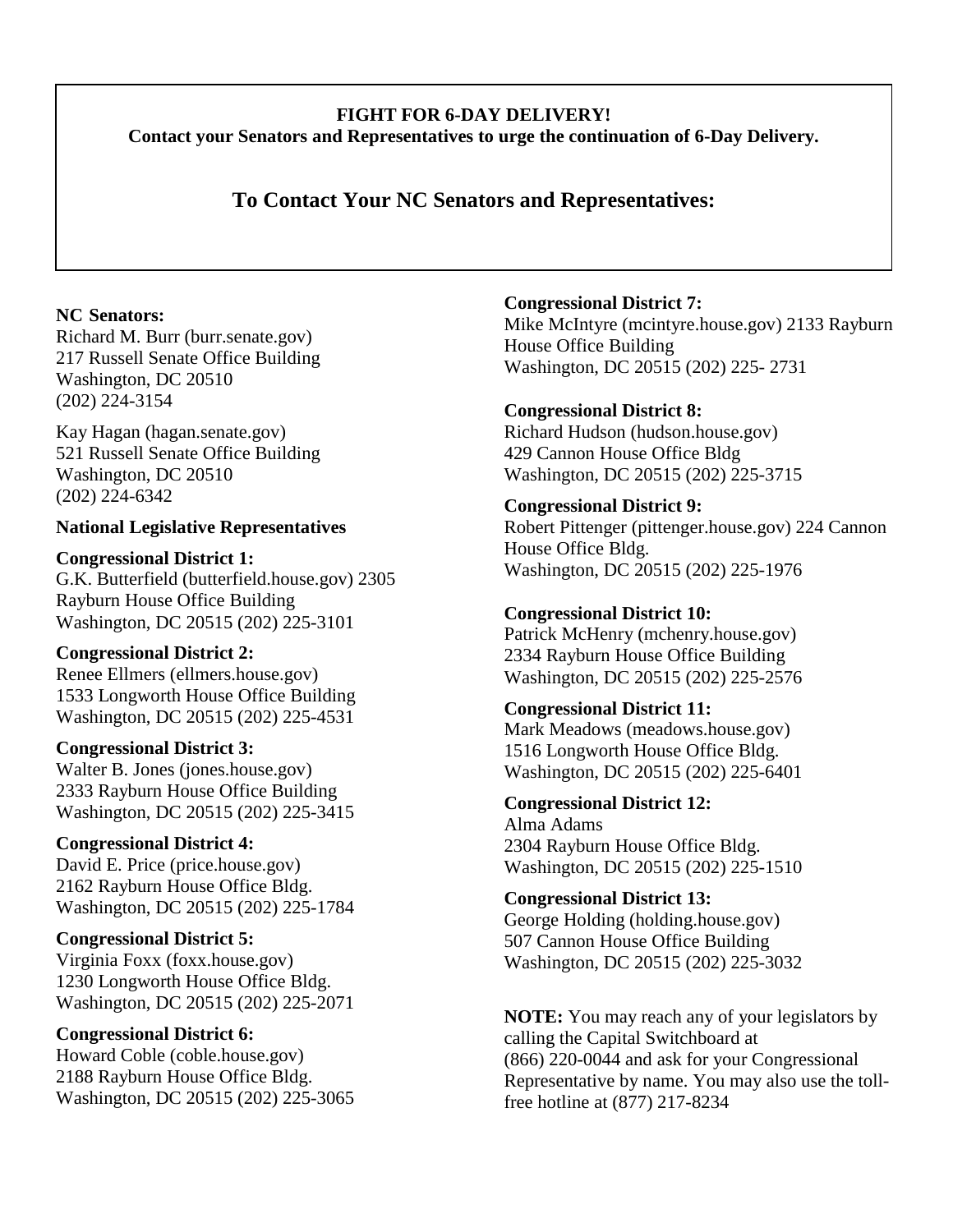# **FIGHT FOR 6-DAY DELIVERY! Contact your Senators and Representatives to urge the continuation of 6-Day Delivery.**

# **To Contact Your NC Senators and Representatives:**

# **NC Senators:**

Richard M. Burr (burr.senate.gov) 217 Russell Senate Office Building Washington, DC 20510 (202) 224-3154

Kay Hagan (hagan.senate.gov) 521 Russell Senate Office Building Washington, DC 20510 (202) 224-6342

# **National Legislative Representatives**

**Congressional District 1:**  G.K. Butterfield (butterfield.house.gov) 2305 Rayburn House Office Building Washington, DC 20515 (202) 225-3101

**Congressional District 2:**  Renee Ellmers (ellmers.house.gov) 1533 Longworth House Office Building Washington, DC 20515 (202) 225-4531

**Congressional District 3:**  Walter B. Jones (jones.house.gov) 2333 Rayburn House Office Building Washington, DC 20515 (202) 225-3415

**Congressional District 4:**  David E. Price (price.house.gov) 2162 Rayburn House Office Bldg. Washington, DC 20515 (202) 225-1784

**Congressional District 5:**  Virginia Foxx (foxx.house.gov) 1230 Longworth House Office Bldg. Washington, DC 20515 (202) 225-2071

**Congressional District 6:**  Howard Coble (coble.house.gov) 2188 Rayburn House Office Bldg. Washington, DC 20515 (202) 225-3065 **Congressional District 7:** 

Mike McIntyre (mcintyre.house.gov) 2133 Rayburn House Office Building Washington, DC 20515 (202) 225- 2731

**Congressional District 8:**  Richard Hudson (hudson.house.gov) 429 Cannon House Office Bldg Washington, DC 20515 (202) 225-3715

**Congressional District 9:**  Robert Pittenger (pittenger.house.gov) 224 Cannon House Office Bldg. Washington, DC 20515 (202) 225-1976

**Congressional District 10:**  Patrick McHenry (mchenry.house.gov) 2334 Rayburn House Office Building Washington, DC 20515 (202) 225-2576

**Congressional District 11:**  Mark Meadows (meadows.house.gov) 1516 Longworth House Office Bldg. Washington, DC 20515 (202) 225-6401

**Congressional District 12:**  Alma Adams 2304 Rayburn House Office Bldg. Washington, DC 20515 (202) 225-1510

**Congressional District 13:**  George Holding (holding.house.gov) 507 Cannon House Office Building Washington, DC 20515 (202) 225-3032

**NOTE:** You may reach any of your legislators by calling the Capital Switchboard at (866) 220-0044 and ask for your Congressional Representative by name. You may also use the tollfree hotline at (877) 217-8234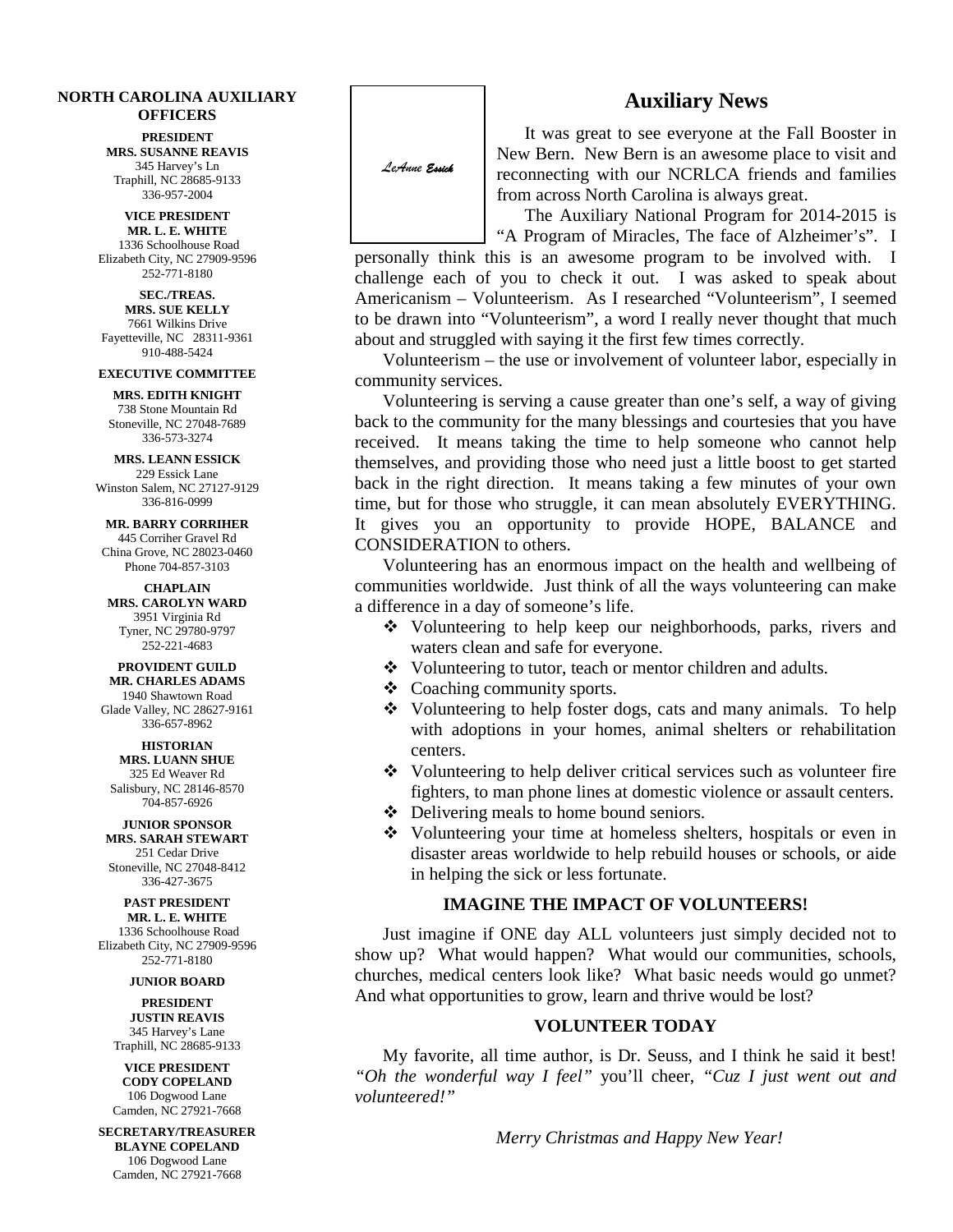#### **NORTH CAROLINA AUXILIARY OFFICERS**

**PRESIDENT MRS. SUSANNE REAVIS** 345 Harvey's Ln Traphill, NC 28685-9133 336-957-2004

**VICE PRESIDENT MR. L. E. WHITE** 1336 Schoolhouse Road Elizabeth City, NC 27909-9596 252-771-8180

**SEC./TREAS. MRS. SUE KELLY** 7661 Wilkins Drive Fayetteville, NC 28311-9361 910-488-5424

#### **EXECUTIVE COMMITTEE**

**MRS. EDITH KNIGHT** 738 Stone Mountain Rd Stoneville, NC 27048-7689 336-573-3274

#### **MRS. LEANN ESSICK** 229 Essick Lane

Winston Salem, NC 27127-9129 336-816-0999

**MR. BARRY CORRIHER** 445 Corriher Gravel Rd China Grove, NC 28023-0460 Phone 704-857-3103

**CHAPLAIN MRS. CAROLYN WARD** 3951 Virginia Rd Tyner, NC 29780-9797 252-221-4683

**PROVIDENT GUILD MR. CHARLES ADAMS** 1940 Shawtown Road Glade Valley, NC 28627-9161 336-657-8962

**HISTORIAN MRS. LUANN SHUE** 325 Ed Weaver Rd Salisbury, NC 28146-8570 704-857-6926

**JUNIOR SPONSOR MRS. SARAH STEWART** 251 Cedar Drive Stoneville, NC 27048-8412 336-427-3675

**PAST PRESIDENT MR. L. E. WHITE** 1336 Schoolhouse Road Elizabeth City, NC 27909-9596 252-771-8180

#### **JUNIOR BOARD**

**PRESIDENT JUSTIN REAVIS** 345 Harvey's Lane Traphill, NC 28685-9133

**VICE PRESIDENT CODY COPELAND** 106 Dogwood Lane Camden, NC 27921-7668

**SECRETARY/TREASURER BLAYNE COPELAND** 106 Dogwood Lane Camden, NC 27921-7668



It was great to see everyone at the Fall Booster in New Bern. New Bern is an awesome place to visit and reconnecting with our NCRLCA friends and families from across North Carolina is always great.

The Auxiliary National Program for 2014-2015 is "A Program of Miracles, The face of Alzheimer's". I

personally think this is an awesome program to be involved with. I challenge each of you to check it out. I was asked to speak about Americanism – Volunteerism. As I researched "Volunteerism", I seemed to be drawn into "Volunteerism", a word I really never thought that much about and struggled with saying it the first few times correctly.  $\mathbf{I}$ 

Volunteerism – the use or involvement of volunteer labor, especially in community services.

Volunteering is serving a cause greater than one's self, a way of giving back to the community for the many blessings and courtesies that you have received. It means taking the time to help someone who cannot help themselves, and providing those who need just a little boost to get started back in the right direction. It means taking a few minutes of your own time, but for those who struggle, it can mean absolutely EVERYTHING. It gives you an opportunity to provide HOPE, BALANCE and CONSIDERATION to others.

Volunteering has an enormous impact on the health and wellbeing of communities worldwide. Just think of all the ways volunteering can make a difference in a day of someone's life.

- Volunteering to help keep our neighborhoods, parks, rivers and waters clean and safe for everyone.
- Volunteering to tutor, teach or mentor children and adults.
- Coaching community sports.
- Volunteering to help foster dogs, cats and many animals. To help with adoptions in your homes, animal shelters or rehabilitation centers.
- Volunteering to help deliver critical services such as volunteer fire fighters, to man phone lines at domestic violence or assault centers.
- Delivering meals to home bound seniors.
- Volunteering your time at homeless shelters, hospitals or even in disaster areas worldwide to help rebuild houses or schools, or aide in helping the sick or less fortunate.

#### **IMAGINE THE IMPACT OF VOLUNTEERS!**

Just imagine if ONE day ALL volunteers just simply decided not to show up? What would happen? What would our communities, schools, churches, medical centers look like? What basic needs would go unmet? And what opportunities to grow, learn and thrive would be lost?

#### **VOLUNTEER TODAY**

My favorite, all time author, is Dr. Seuss, and I think he said it best! *"Oh the wonderful way I feel"* you'll cheer, *"Cuz I just went out and volunteered!"*

*Merry Christmas and Happy New Year!*

**Auxiliary News**